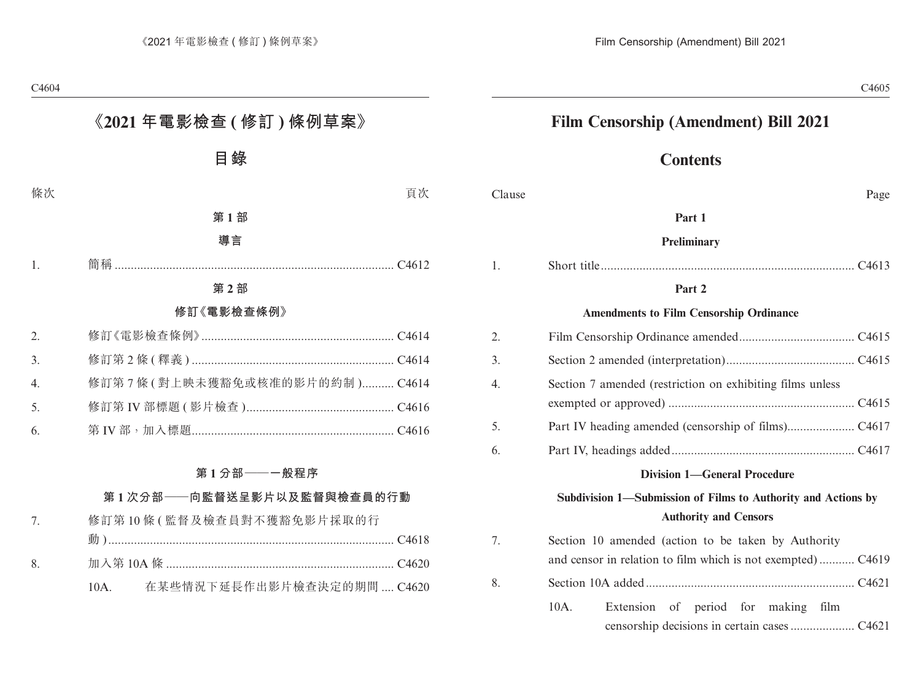# **Contents**

| Clause           | Page                                                                                                               |
|------------------|--------------------------------------------------------------------------------------------------------------------|
|                  | Part 1                                                                                                             |
|                  | <b>Preliminary</b>                                                                                                 |
| 1.               |                                                                                                                    |
|                  | Part 2                                                                                                             |
|                  | <b>Amendments to Film Censorship Ordinance</b>                                                                     |
| 2.               |                                                                                                                    |
| 3.               |                                                                                                                    |
| $\overline{4}$ . | Section 7 amended (restriction on exhibiting films unless                                                          |
| 5.               |                                                                                                                    |
| 6.               |                                                                                                                    |
|                  | <b>Division 1-General Procedure</b>                                                                                |
|                  | Subdivision 1-Submission of Films to Authority and Actions by<br><b>Authority and Censors</b>                      |
| 7.               | Section 10 amended (action to be taken by Authority<br>and censor in relation to film which is not exempted) C4619 |
| 8.               |                                                                                                                    |
|                  | $10A$ .<br>Extension of period for making film                                                                     |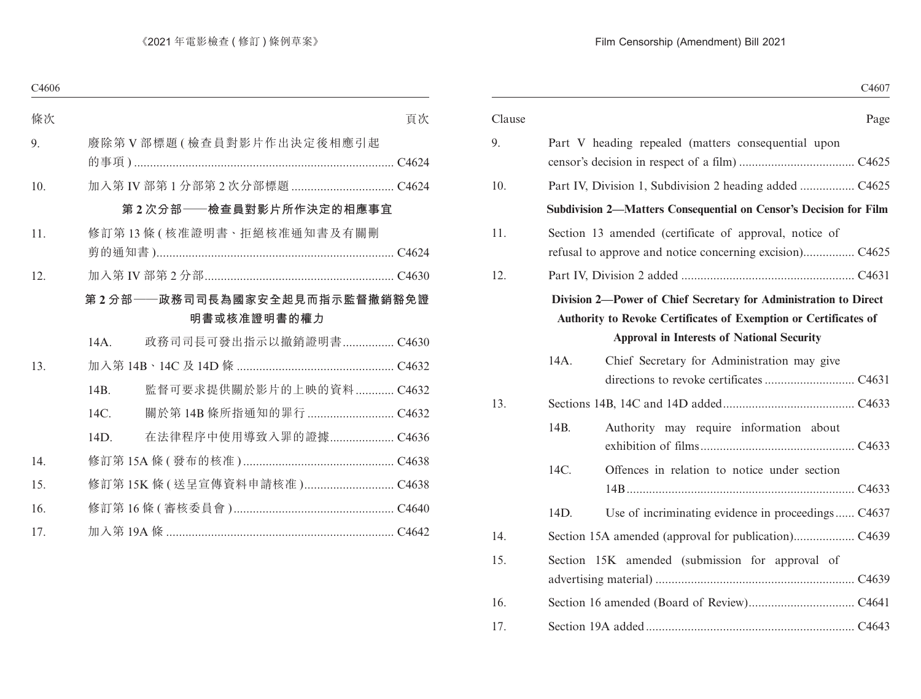|                                                                   | Clause                                                                   |
|-------------------------------------------------------------------|--------------------------------------------------------------------------|
| Part V heading repealed (matters consequential upon               | 9.                                                                       |
|                                                                   |                                                                          |
|                                                                   | 10.                                                                      |
| Subdivision 2-Matters Consequential on Censor's Decision for Film |                                                                          |
| Section 13 amended (certificate of approval, notice of            | 11.                                                                      |
|                                                                   | 12.                                                                      |
| Authority to Revoke Certificates of Exemption or Certificates of  |                                                                          |
|                                                                   |                                                                          |
|                                                                   | 13.                                                                      |
| 14B.                                                              |                                                                          |
| 14C.                                                              |                                                                          |
| 14D.                                                              |                                                                          |
|                                                                   | 14.                                                                      |
| Section 15K amended (submission for approval of                   | 15.                                                                      |
|                                                                   | 16.                                                                      |
|                                                                   | 17.                                                                      |
|                                                                   | Division 2-Power of Chief Secretary for Administration to Direct<br>14A. |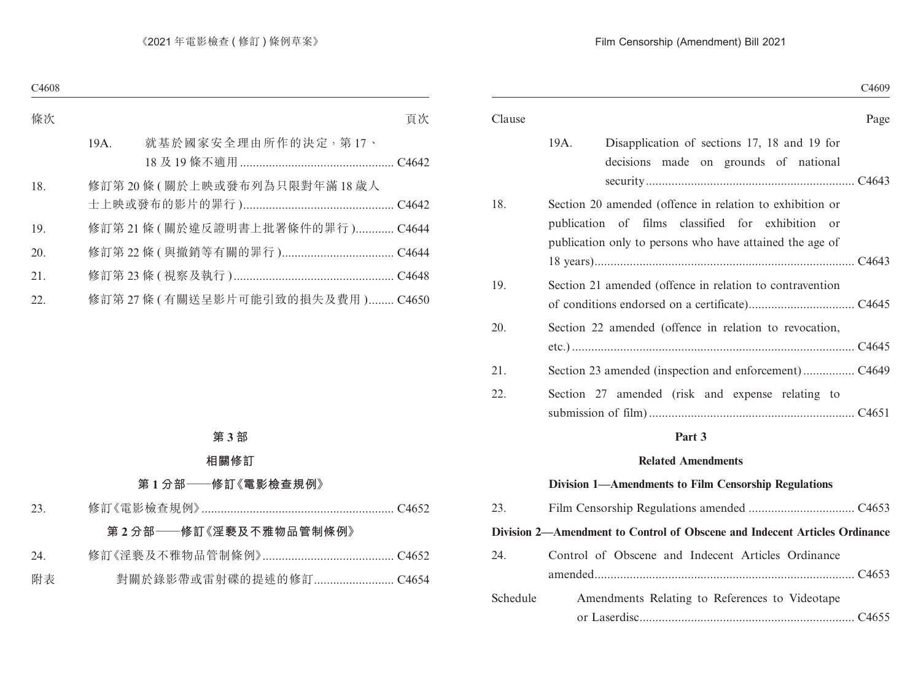|      |                                                                                                                                                                           | C <sub>4609</sub> |
|------|---------------------------------------------------------------------------------------------------------------------------------------------------------------------------|-------------------|
|      |                                                                                                                                                                           | Page              |
| 19A. | Disapplication of sections 17, 18 and 19 for<br>decisions made on grounds of national                                                                                     |                   |
|      | Section 20 amended (offence in relation to exhibition or<br>publication of films classified for exhibition or<br>publication only to persons who have attained the age of |                   |
|      | Section 21 amended (offence in relation to contravention                                                                                                                  |                   |
|      | Section 22 amended (offence in relation to revocation,                                                                                                                    |                   |
|      |                                                                                                                                                                           |                   |
|      | Section 27 amended (risk and expense relating to                                                                                                                          |                   |

# **Part 3**

#### **Related Amendments**

#### **Division 1—Amendments to Film Censorship Regulations**

| 23.      |                                                                            |
|----------|----------------------------------------------------------------------------|
|          | Division 2—Amendment to Control of Obscene and Indecent Articles Ordinance |
| 24.      | Control of Obscene and Indecent Articles Ordinance                         |
| Schedule | Amendments Relating to References to Videotape                             |
|          |                                                                            |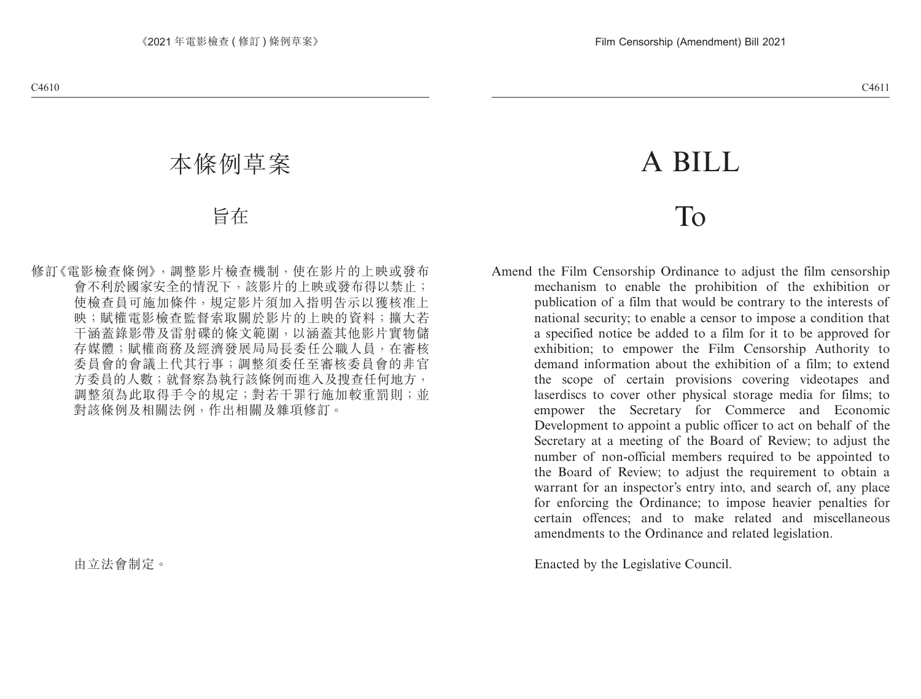# A BILL

# To

Amend the Film Censorship Ordinance to adjust the film censorship mechanism to enable the prohibition of the exhibition or publication of a film that would be contrary to the interests of national security; to enable a censor to impose a condition that a specified notice be added to a film for it to be approved for exhibition; to empower the Film Censorship Authority to demand information about the exhibition of a film; to extend the scope of certain provisions covering videotapes and laserdiscs to cover other physical storage media for films; to empower the Secretary for Commerce and Economic Development to appoint a public officer to act on behalf of the Secretary at a meeting of the Board of Review; to adjust the number of non-official members required to be appointed to the Board of Review; to adjust the requirement to obtain a warrant for an inspector's entry into, and search of, any place for enforcing the Ordinance; to impose heavier penalties for certain offences; and to make related and miscellaneous amendments to the Ordinance and related legislation.

Enacted by the Legislative Council.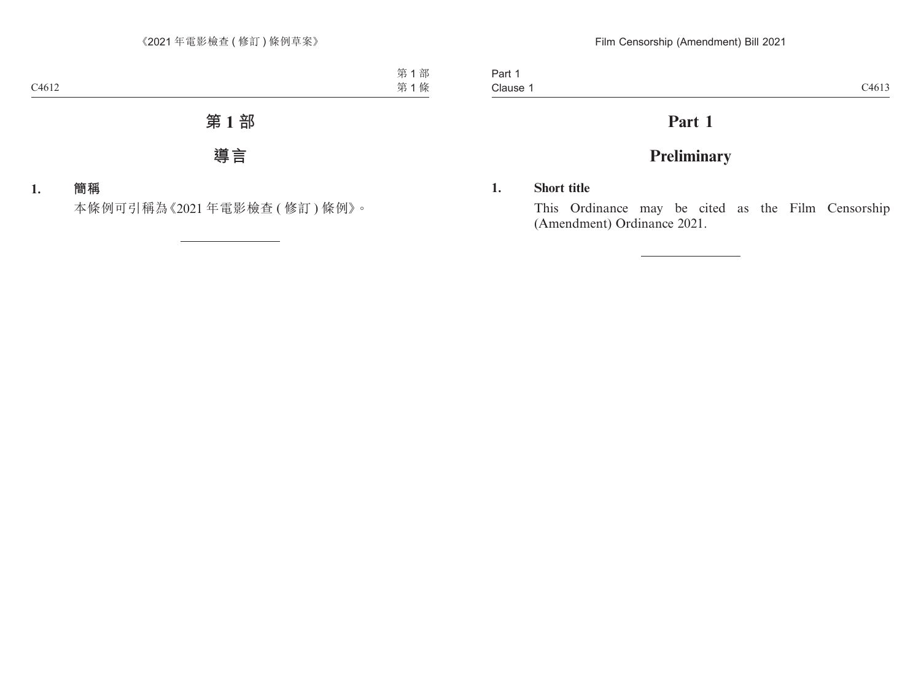Part 1 Clause 1 Clause 1 C4613

# **Part 1**

# **Preliminary**

# **1. Short title**

This Ordinance may be cited as the Film Censorship (Amendment) Ordinance 2021.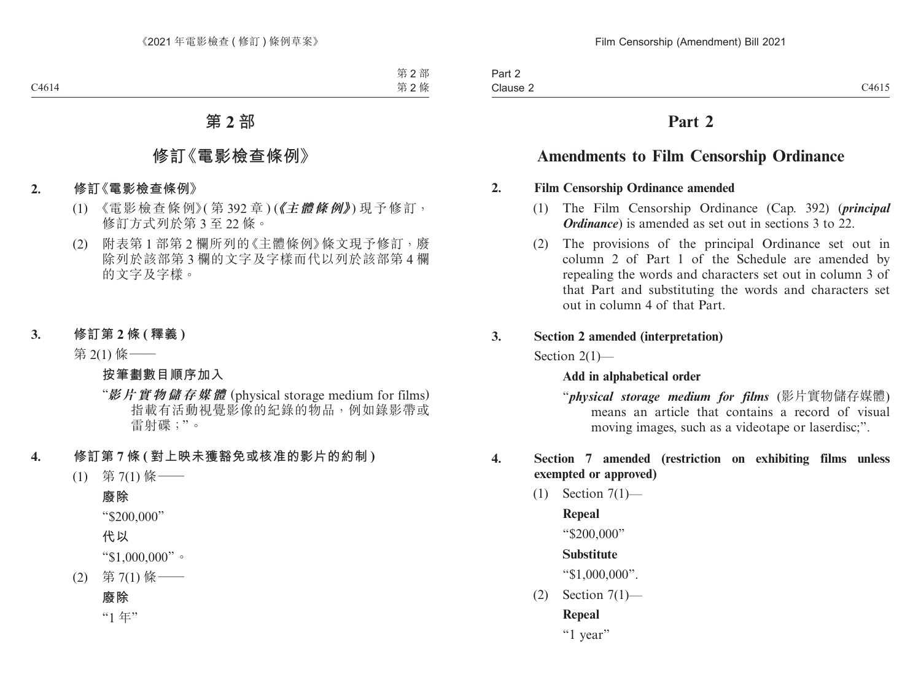# **Part 2**

# **Amendments to Film Censorship Ordinance**

## **2. Film Censorship Ordinance amended**

- (1) The Film Censorship Ordinance (Cap. 392) (*principal Ordinance*) is amended as set out in sections 3 to 22.
- (2) The provisions of the principal Ordinance set out in column 2 of Part 1 of the Schedule are amended by repealing the words and characters set out in column 3 of that Part and substituting the words and characters set out in column 4 of that Part.

#### **3. Section 2 amended (interpretation)**

Section 2(1)—

# **Add in alphabetical order**

"*physical storage medium for films* (影片實物儲存媒體) means an article that contains a record of visual moving images, such as a videotape or laserdisc;".

# **4. Section 7 amended (restriction on exhibiting films unless exempted or approved)**

(1) Section 7(1)—

# **Repeal**

"\$200,000"

# **Substitute**

"\$1,000,000".

 $(2)$  Section  $7(1)$ —

# **Repeal**

"1 year"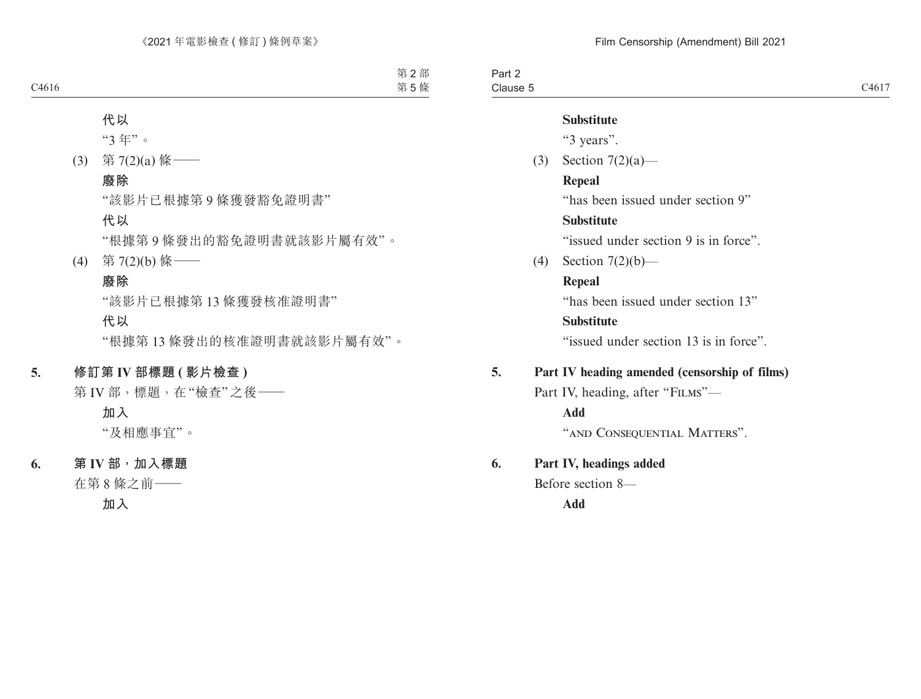Part 2 Clause 5 Clause  $5$  C4617

#### **Substitute**

"3 years".

(3) Section 7(2)(a)—

#### **Repeal**

"has been issued under section 9"

#### **Substitute**

"issued under section 9 is in force".

(4) Section 7(2)(b)—

# **Repeal**

"has been issued under section 13"

## **Substitute**

"issued under section 13 is in force".

# **5. Part IV heading amended (censorship of films)**

Part IV, heading, after "FILMS"—

**Add**

"AND CONSEQUENTIAL MATTERS".

# **6. Part IV, headings added**

Before section 8—

**Add**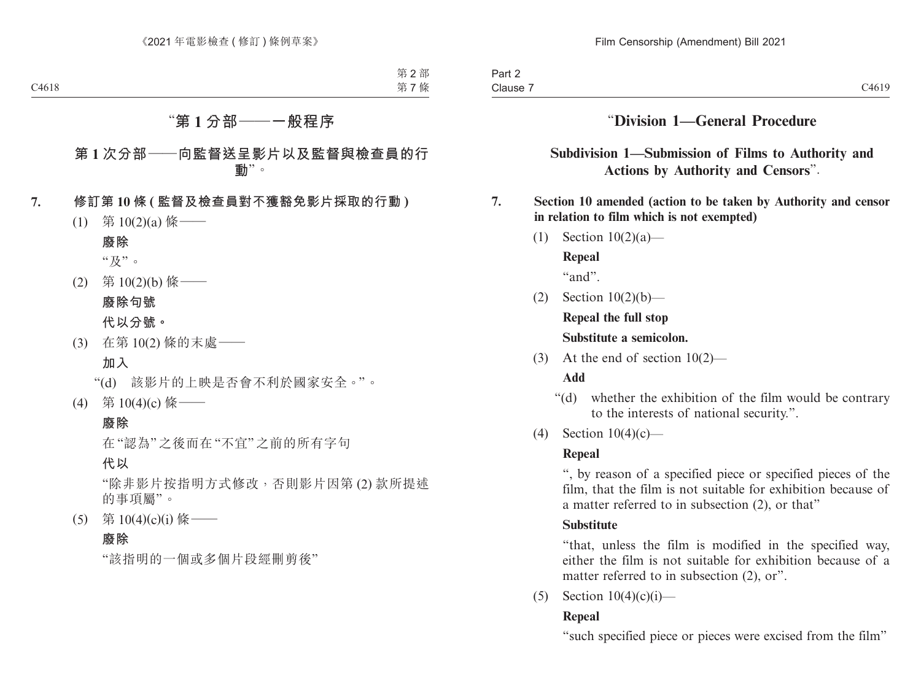# "**Division 1—General Procedure**

# **Subdivision 1—Submission of Films to Authority and Actions by Authority and Censors**".

# **7. Section 10 amended (action to be taken by Authority and censor in relation to film which is not exempted)**

- (1) Section 10(2)(a)— **Repeal** "and".
- (2) Section 10(2)(b)—

**Repeal the full stop Substitute a semicolon.**

(3) At the end of section 10(2)—

# **Add**

- "(d) whether the exhibition of the film would be contrary to the interests of national security.".
- (4) Section 10(4)(c)—

# **Repeal**

", by reason of a specified piece or specified pieces of the film, that the film is not suitable for exhibition because of a matter referred to in subsection (2), or that"

# **Substitute**

"that, unless the film is modified in the specified way, either the film is not suitable for exhibition because of a matter referred to in subsection  $(2)$ , or".

(5) Section  $10(4)(c)(i)$ —

# **Repeal**

"such specified piece or pieces were excised from the film"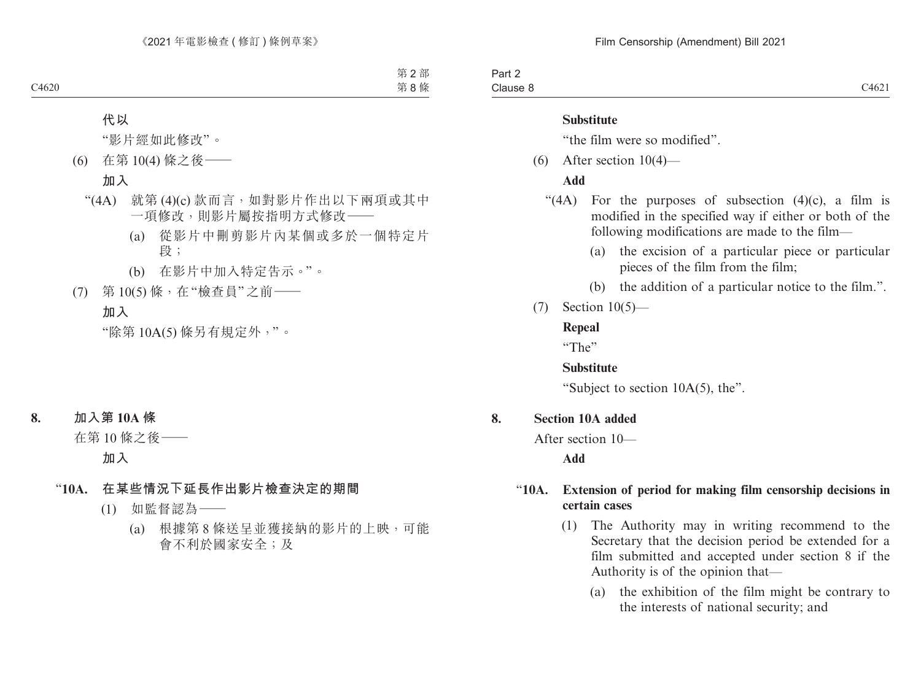#### **Substitute**

"the film were so modified".

(6) After section 10(4)—

#### **Add**

- "(4A) For the purposes of subsection  $(4)(c)$ , a film is modified in the specified way if either or both of the following modifications are made to the film—
	- (a) the excision of a particular piece or particular pieces of the film from the film;
	- (b) the addition of a particular notice to the film.".
- (7) Section 10(5)—

#### **Repeal**

"The"

# **Substitute**

"Subject to section 10A(5), the".

# **8. Section 10A added**

After section 10—

**Add**

# "**10A. Extension of period for making film censorship decisions in certain cases**

- (1) The Authority may in writing recommend to the Secretary that the decision period be extended for a film submitted and accepted under section 8 if the Authority is of the opinion that—
	- (a) the exhibition of the film might be contrary to the interests of national security; and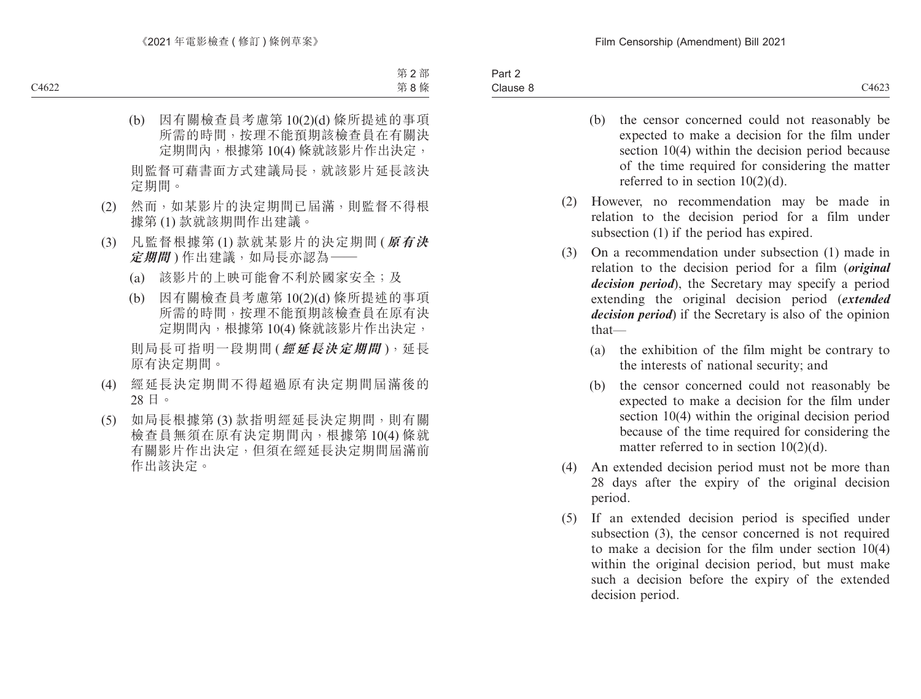Part 2 Clause 8 Clause 8 C4623

- (b) the censor concerned could not reasonably be expected to make a decision for the film under section 10(4) within the decision period because of the time required for considering the matter referred to in section 10(2)(d).
- (2) However, no recommendation may be made in relation to the decision period for a film under subsection (1) if the period has expired.
- (3) On a recommendation under subsection (1) made in relation to the decision period for a film (*original decision period*), the Secretary may specify a period extending the original decision period (*extended decision period*) if the Secretary is also of the opinion that—
	- (a) the exhibition of the film might be contrary to the interests of national security; and
	- (b) the censor concerned could not reasonably be expected to make a decision for the film under section 10(4) within the original decision period because of the time required for considering the matter referred to in section 10(2)(d).
- (4) An extended decision period must not be more than 28 days after the expiry of the original decision period.
- (5) If an extended decision period is specified under subsection (3), the censor concerned is not required to make a decision for the film under section 10(4) within the original decision period, but must make such a decision before the expiry of the extended decision period.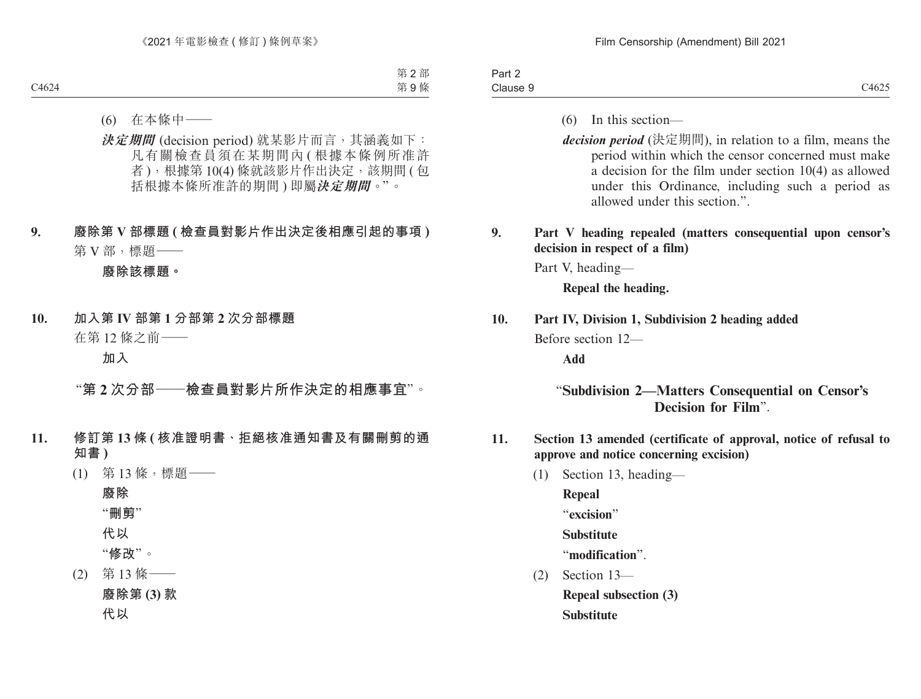| and the property of the<br>-<br>Part 2 |                |
|----------------------------------------|----------------|
| Clause                                 | 71025<br>C4625 |

- (6) In this section—
- *decision period* (決定期間), in relation to a film, means the period within which the censor concerned must make a decision for the film under section 10(4) as allowed under this Ordinance, including such a period as allowed under this section."

# **9. Part V heading repealed (matters consequential upon censor's decision in respect of a film)**

Part V, heading—

**Repeal the heading.**

#### **10. Part IV, Division 1, Subdivision 2 heading added**

Before section 12—

**Add**

# "**Subdivision 2—Matters Consequential on Censor's Decision for Film**".

- **11. Section 13 amended (certificate of approval, notice of refusal to approve and notice concerning excision)**
	- (1) Section 13, heading—

**Repeal** "**excision**" **Substitute**

"**modification**".

(2) Section 13—

**Repeal subsection (3)**

**Substitute**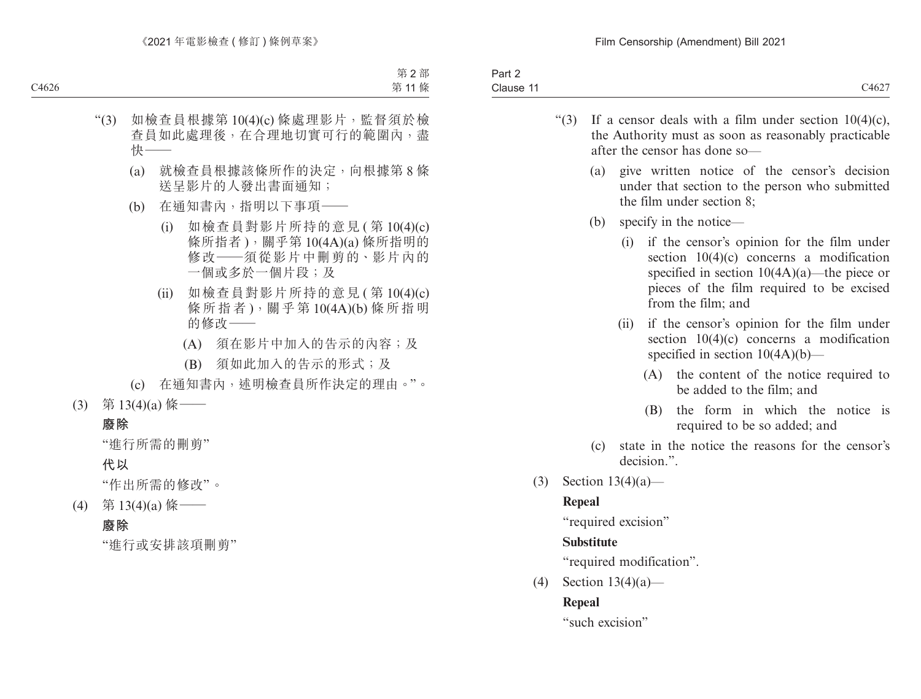| $\sim$<br>$\sim$<br>Part 2                    |       |
|-----------------------------------------------|-------|
| $\sim$ $\sim$ $\sim$<br>Clause 1 <sup>.</sup> | C4627 |

- "(3) If a censor deals with a film under section  $10(4)(c)$ , the Authority must as soon as reasonably practicable after the censor has done so—
	- (a) give written notice of the censor's decision under that section to the person who submitted the film under section 8;
	- (b) specify in the notice—
		- (i) if the censor's opinion for the film under section 10(4)(c) concerns a modification specified in section  $10(4A)(a)$ —the piece or pieces of the film required to be excised from the film; and
		- (ii) if the censor's opinion for the film under section 10(4)(c) concerns a modification specified in section  $10(4A)(b)$ —
			- (A) the content of the notice required to be added to the film; and
			- (B) the form in which the notice is required to be so added; and
	- (c) state in the notice the reasons for the censor's decision."
- (3) Section 13(4)(a)—

# **Repeal**

"required excision"

# **Substitute**

"required modification".

(4) Section  $13(4)(a)$ —

# **Repeal**

"such excision"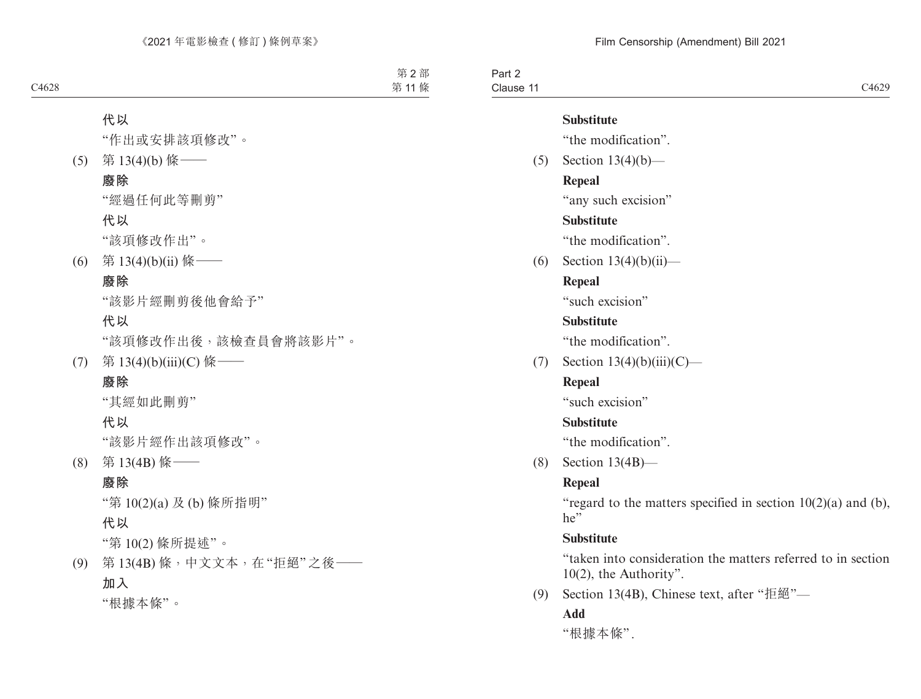| Part 2                    |       |
|---------------------------|-------|
| $\sim$ $\sim$<br>Clause 1 | C4629 |

#### **Substitute**

"the modification".

(5) Section 13(4)(b)— **Repeal** "any such excision"

# **Substitute**

"the modification".

(6) Section  $13(4)(b)(ii)$ —

# **Repeal**

"such excision"

# **Substitute**

"the modification".

(7) Section  $13(4)(b)(iii)(C)$ —

# **Repeal**

"such excision"

# **Substitute**

"the modification".

(8) Section 13(4B)—

# **Repeal**

"regard to the matters specified in section  $10(2)(a)$  and (b),  $he''$ 

# **Substitute**

"taken into consideration the matters referred to in section 10(2), the Authority".

(9) Section 13(4B), Chinese text, after "拒絕"—

# **Add**

"根據本條".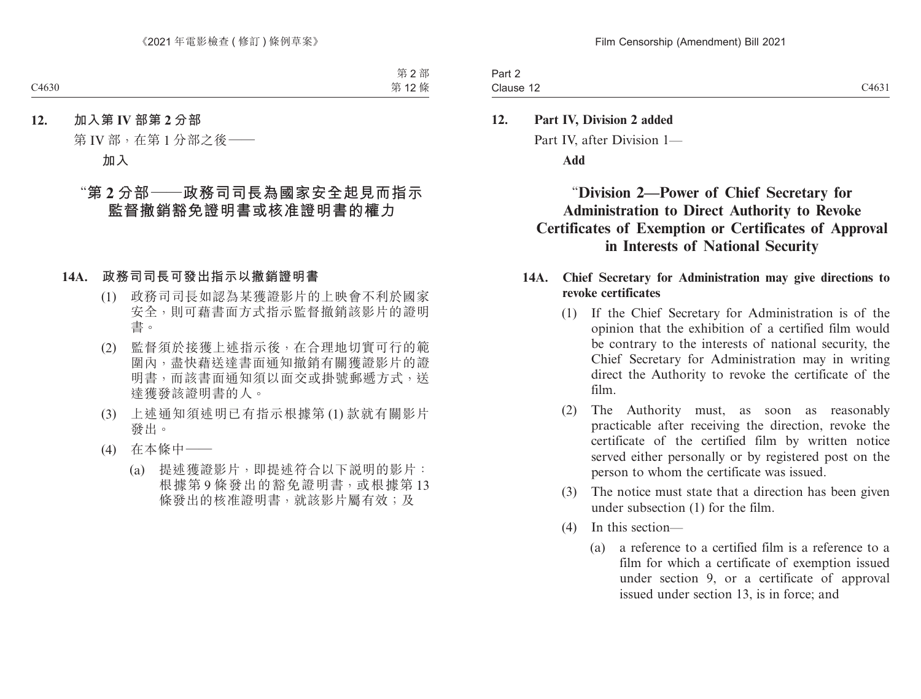Part 2 Clause 12 Clause  $12$  C4631

# **12. Part IV, Division 2 added** Part IV, after Division 1— **Add**

# "**Division 2—Power of Chief Secretary for Administration to Direct Authority to Revoke Certificates of Exemption or Certificates of Approval in Interests of National Security**

# **14A. Chief Secretary for Administration may give directions to revoke certificates**

- (1) If the Chief Secretary for Administration is of the opinion that the exhibition of a certified film would be contrary to the interests of national security, the Chief Secretary for Administration may in writing direct the Authority to revoke the certificate of the film.
- (2) The Authority must, as soon as reasonably practicable after receiving the direction, revoke the certificate of the certified film by written notice served either personally or by registered post on the person to whom the certificate was issued.
- (3) The notice must state that a direction has been given under subsection (1) for the film.
- (4) In this section—
	- (a) a reference to a certified film is a reference to a film for which a certificate of exemption issued under section 9, or a certificate of approval issued under section 13, is in force; and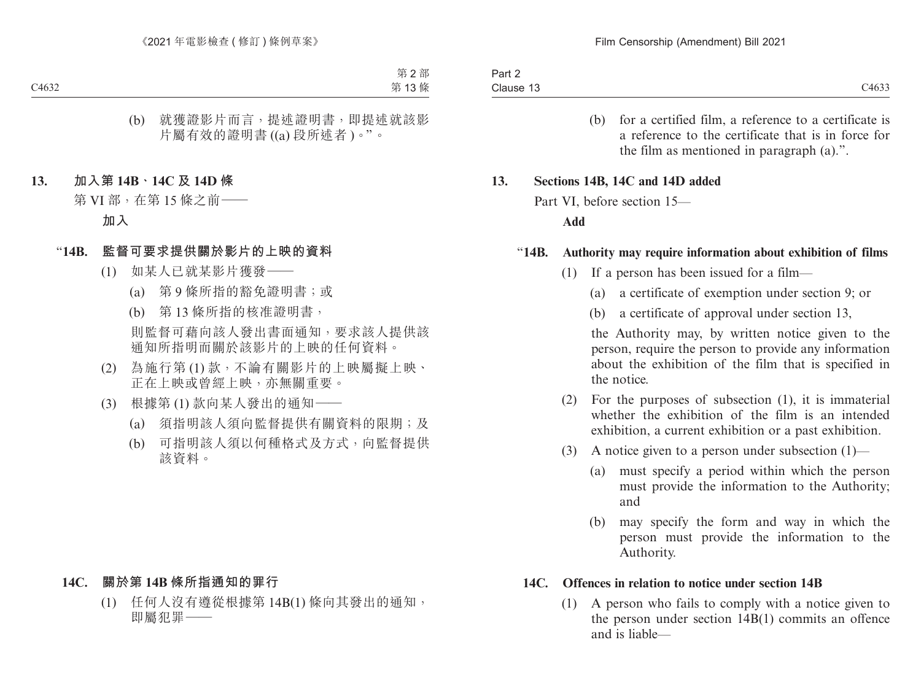(b) for a certified film, a reference to a certificate is a reference to the certificate that is in force for the film as mentioned in paragraph (a).".

#### **13. Sections 14B, 14C and 14D added**

Part VI, before section 15—

#### **Add**

#### "**14B. Authority may require information about exhibition of films**

- (1) If a person has been issued for a film—
	- (a) a certificate of exemption under section 9; or
	- (b) a certificate of approval under section 13,

the Authority may, by written notice given to the person, require the person to provide any information about the exhibition of the film that is specified in the notice.

- (2) For the purposes of subsection (1), it is immaterial whether the exhibition of the film is an intended exhibition, a current exhibition or a past exhibition.
- (3) A notice given to a person under subsection  $(1)$ 
	- (a) must specify a period within which the person must provide the information to the Authority; and
	- (b) may specify the form and way in which the person must provide the information to the Authority.

#### **14C. Offences in relation to notice under section 14B**

(1) A person who fails to comply with a notice given to the person under section 14B(1) commits an offence and is liable—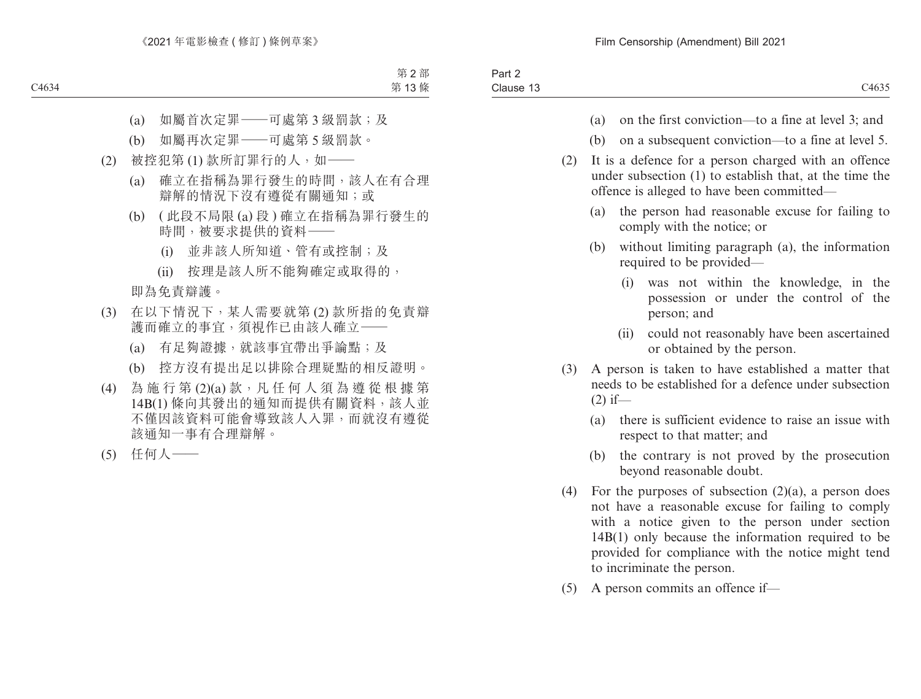| $\overline{\phantom{a}}$<br>$\sim$<br>Part 2 |       |
|----------------------------------------------|-------|
| $\overline{\phantom{a}}$<br>Clause 13        | C4635 |

- (a) on the first conviction—to a fine at level 3; and
- (b) on a subsequent conviction—to a fine at level 5.
- (2) It is a defence for a person charged with an offence under subsection (1) to establish that, at the time the offence is alleged to have been committed—
	- (a) the person had reasonable excuse for failing to comply with the notice; or
	- (b) without limiting paragraph (a), the information required to be provided—
		- (i) was not within the knowledge, in the possession or under the control of the person; and
		- (ii) could not reasonably have been ascertained or obtained by the person.
- (3) A person is taken to have established a matter that needs to be established for a defence under subsection  $(2)$  if—
	- (a) there is sufficient evidence to raise an issue with respect to that matter; and
	- (b) the contrary is not proved by the prosecution beyond reasonable doubt.
- (4) For the purposes of subsection  $(2)(a)$ , a person does not have a reasonable excuse for failing to comply with a notice given to the person under section 14B(1) only because the information required to be provided for compliance with the notice might tend to incriminate the person.
- (5) A person commits an offence if—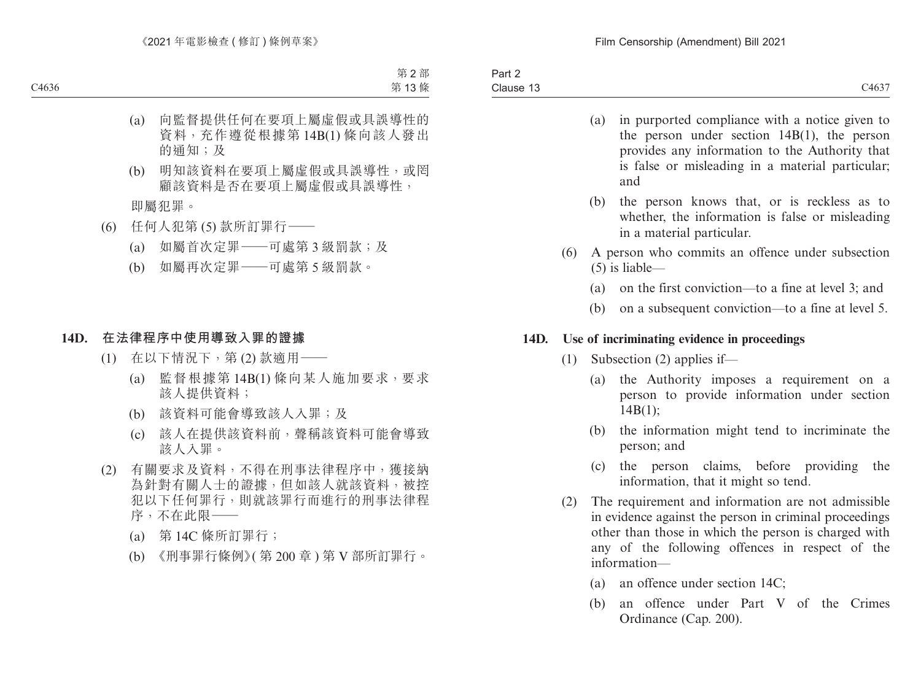- (a) in purported compliance with a notice given to the person under section 14B(1), the person provides any information to the Authority that is false or misleading in a material particular; and
- (b) the person knows that, or is reckless as to whether, the information is false or misleading in a material particular.
- (6) A person who commits an offence under subsection (5) is liable—
	- (a) on the first conviction—to a fine at level 3; and
	- (b) on a subsequent conviction—to a fine at level 5.

#### **14D. Use of incriminating evidence in proceedings**

- (1) Subsection (2) applies if—
	- (a) the Authority imposes a requirement on a person to provide information under section 14B(1);
	- (b) the information might tend to incriminate the person; and
	- (c) the person claims, before providing the information, that it might so tend.
- (2) The requirement and information are not admissible in evidence against the person in criminal proceedings other than those in which the person is charged with any of the following offences in respect of the information—
	- (a) an offence under section 14C;
	- (b) an offence under Part V of the Crimes Ordinance (Cap. 200).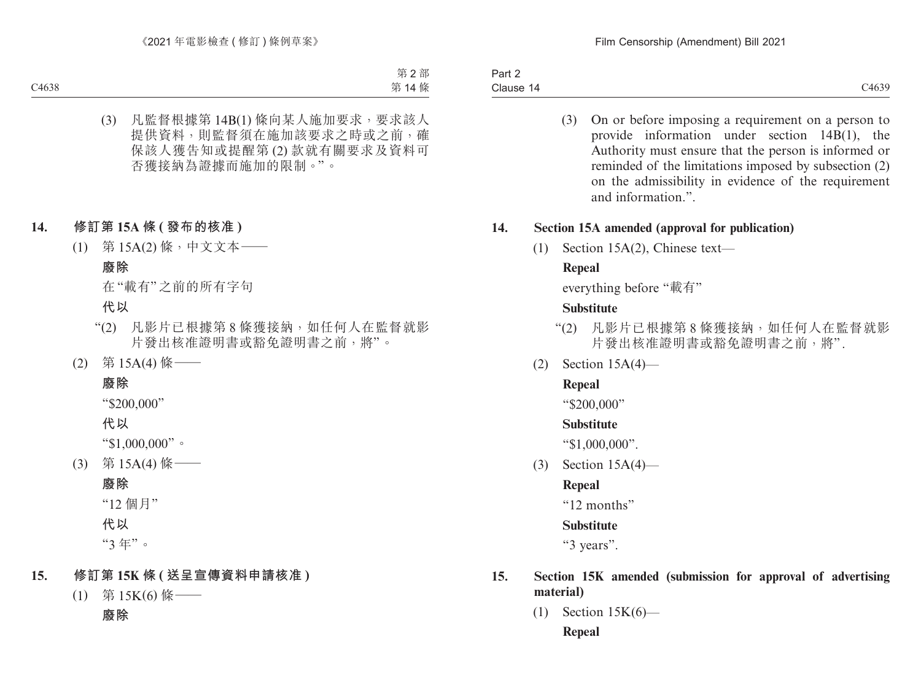Part 2 Clause 14 Clause 14 C4639

(3) On or before imposing a requirement on a person to provide information under section 14B(1), the Authority must ensure that the person is informed or reminded of the limitations imposed by subsection (2) on the admissibility in evidence of the requirement and information.".

#### **14. Section 15A amended (approval for publication)**

(1) Section 15A(2), Chinese text—

# **Repeal**

everything before "載有"

#### **Substitute**

- "(2) 凡影片已根據第 8 條獲接納,如任何人在監督就影 片發出核准證明書或豁免證明書之前,將".
- (2) Section 15A(4)—

# **Repeal**

"\$200,000"

# **Substitute**

"\$1,000,000".

(3) Section 15A(4)—

# **Repeal**

"12 months"

# **Substitute**

"3 years".

# **15. Section 15K amended (submission for approval of advertising material)**

(1) Section 15K(6)— **Repeal**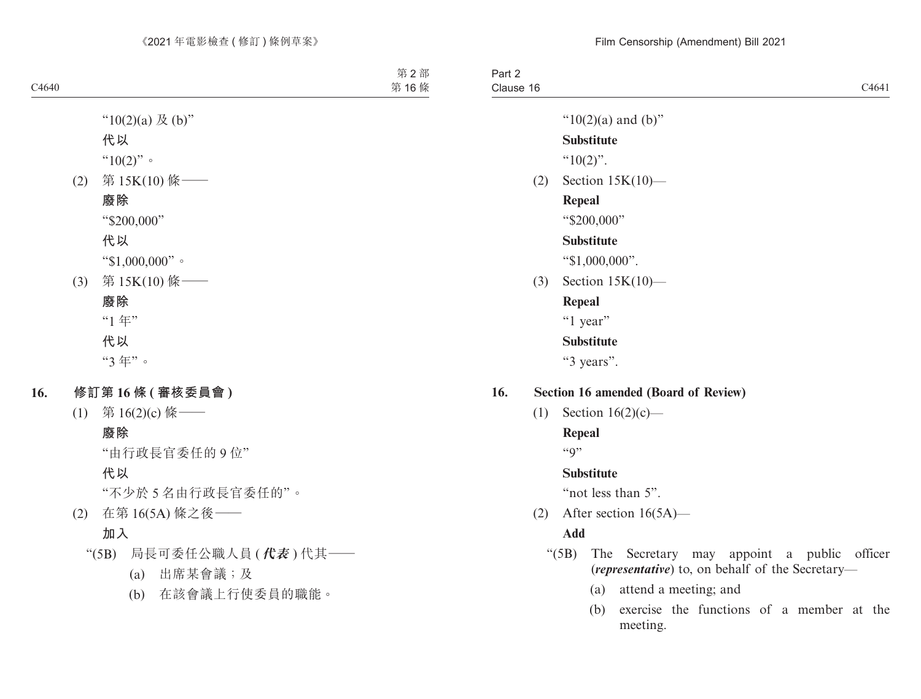Part 2 Clause 16 Clause 16 and 200 and 200 and 200 and 200 and 200 and 200 and 200 and 200 and 200 and 200 and 200 and 200 and 200 and 200 and 200 and 200 and 200 and 200 and 200 and 200 and 200 and 200 and 200 and 200 and 200 and 200 and " $10(2)(a)$  and  $(b)$ " **Substitute**  $^{64}10(2)$ ". (2) Section 15K(10)— **Repeal** "\$200,000" **Substitute** "\$1,000,000". (3) Section 15K(10)— **Repeal** "1 year" **Substitute**

"3 years".

- **16. Section 16 amended (Board of Review)**
	- (1) Section  $16(2)(c)$ —

**Repeal**

 $``Q"$ 

## **Substitute**

"not less than 5".

(2) After section 16(5A)—

# **Add**

- "(5B) The Secretary may appoint a public officer (*representative*) to, on behalf of the Secretary—
	- (a) attend a meeting; and
	- (b) exercise the functions of a member at the meeting.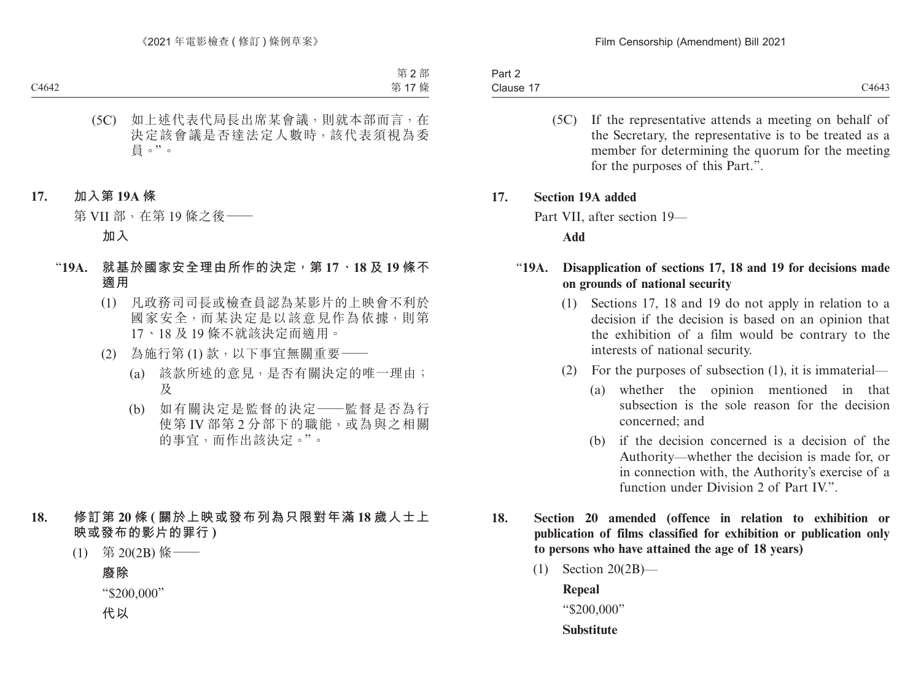| $\overline{\phantom{0}}$<br>Part 2 |       |
|------------------------------------|-------|
| $\sim$ $\sim$<br>Clause 1          | C4643 |

(5C) If the representative attends a meeting on behalf of the Secretary, the representative is to be treated as a member for determining the quorum for the meeting for the purposes of this Part.".

#### **17. Section 19A added**

Part VII, after section 19—

**Add**

# "**19A. Disapplication of sections 17, 18 and 19 for decisions made on grounds of national security**

- (1) Sections 17, 18 and 19 do not apply in relation to a decision if the decision is based on an opinion that the exhibition of a film would be contrary to the interests of national security.
- (2) For the purposes of subsection (1), it is immaterial—
	- (a) whether the opinion mentioned in that subsection is the sole reason for the decision concerned; and
	- (b) if the decision concerned is a decision of the Authority—whether the decision is made for, or in connection with, the Authority's exercise of a function under Division 2 of Part IV".
- **18. Section 20 amended (offence in relation to exhibition or publication of films classified for exhibition or publication only to persons who have attained the age of 18 years)**
	- (1) Section 20(2B)—

**Repeal** "\$200,000" **Substitute**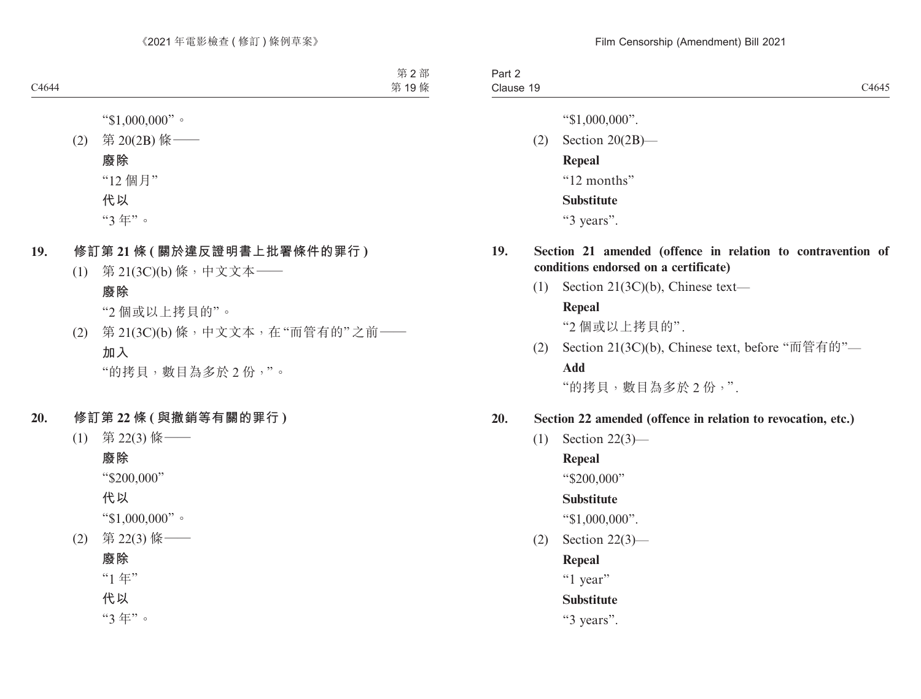| າ~~+<br>ant Z |       |
|---------------|-------|
| Clause<br>.   | C4645 |
|               |       |

"\$1,000,000".

(2) Section 20(2B)— **Repeal** "12 months" **Substitute**

"3 years".

# **19. Section 21 amended (offence in relation to contravention of conditions endorsed on a certificate)**

(1) Section 21(3C)(b), Chinese text—

# **Repeal**

"2 個或以上拷貝的".

(2) Section 21(3C)(b), Chinese text, before "而管有的"— **Add**

"的拷貝,數目為多於 2 份,".

# **20. Section 22 amended (offence in relation to revocation, etc.)**

(1) Section 22(3)—

#### **Repeal**

"\$200,000"

# **Substitute**

"\$1,000,000".

(2) Section 22(3)—

# **Repeal**

"1 year"

# **Substitute**

"3 years".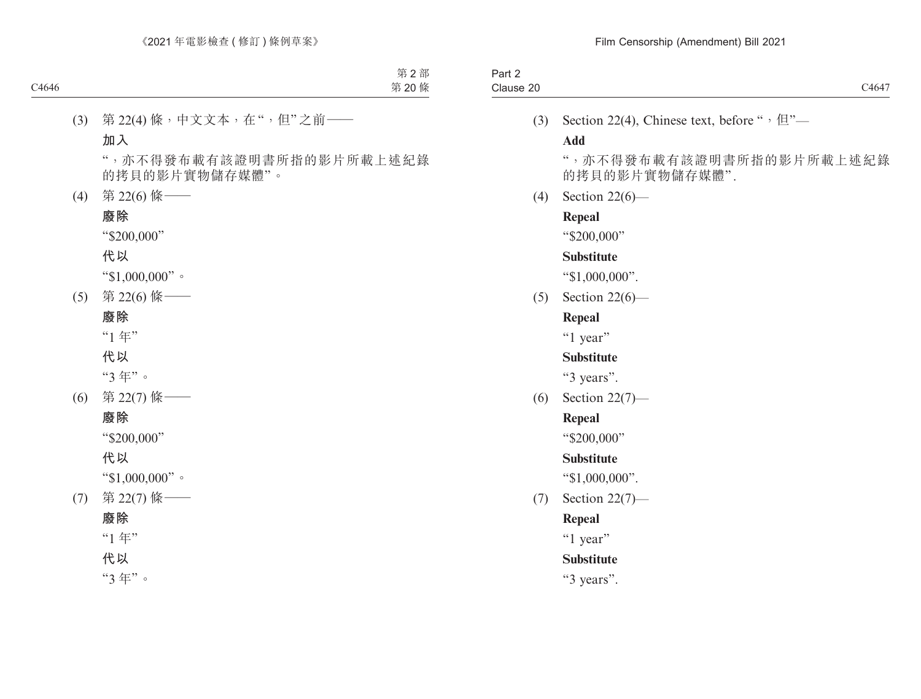| Part 2    |                                                                 |
|-----------|-----------------------------------------------------------------|
| Clause 20 | C4647                                                           |
|           | (3) Section 22(4), Chinese text, before " $\cdot \mathbb{E}$ "- |

## **Add**

",亦不得發布載有該證明書所指的影片所載上述紀錄 的拷貝的影片實物儲存媒體".

(4) Section 22(6)—

## **Repeal**

"\$200,000"

#### **Substitute**

"\$1,000,000".

(5) Section 22(6)—

# **Repeal**

"1 year"

# **Substitute**

"3 years".

(6) Section 22(7)—

# **Repeal**

"\$200,000"

# **Substitute**

"\$1,000,000".

(7) Section 22(7)—

# **Repeal**

"1 year"

# **Substitute**

"3 years".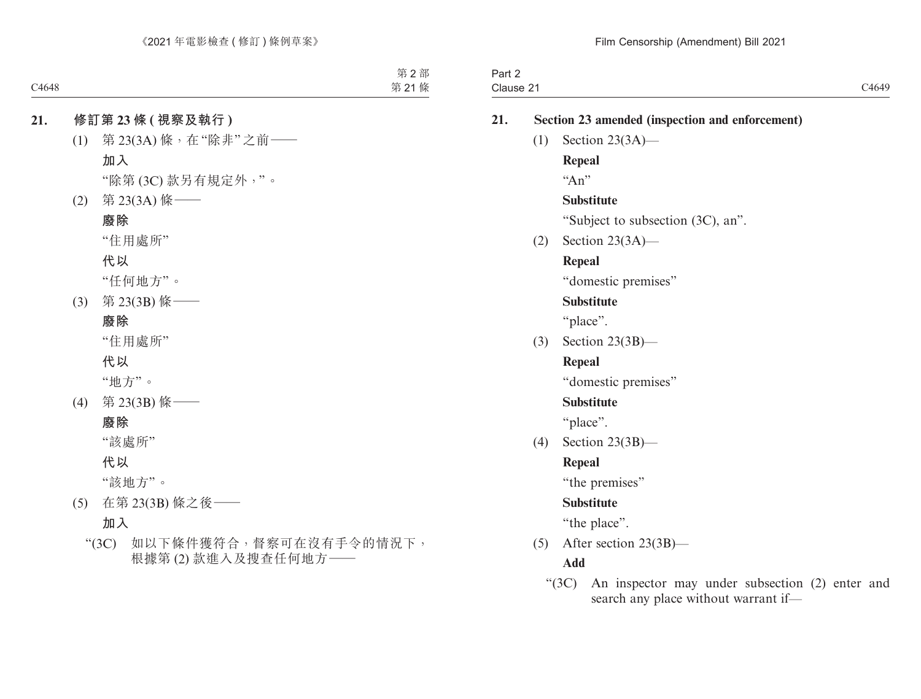| -<br>Part ∠ |                            |
|-------------|----------------------------|
| Clause 2    | C <sub>4640</sub><br>ヘエリエン |
|             |                            |

| 21. | Section 23 amended (inspection and enforcement)                                               |
|-----|-----------------------------------------------------------------------------------------------|
| (1) | Section $23(3A)$ —                                                                            |
|     | <b>Repeal</b>                                                                                 |
|     | "An"                                                                                          |
|     | <b>Substitute</b>                                                                             |
|     | "Subject to subsection (3C), an".                                                             |
| (2) | Section $23(3A)$ —                                                                            |
|     | <b>Repeal</b>                                                                                 |
|     | "domestic premises"                                                                           |
|     | <b>Substitute</b>                                                                             |
|     | "place".                                                                                      |
| (3) | Section $23(3B)$ —                                                                            |
|     | <b>Repeal</b>                                                                                 |
|     | "domestic premises"                                                                           |
|     | <b>Substitute</b>                                                                             |
|     | "place".                                                                                      |
| (4) | Section $23(3B)$ —                                                                            |
|     | <b>Repeal</b>                                                                                 |
|     | "the premises"                                                                                |
|     | <b>Substitute</b>                                                                             |
|     | "the place".                                                                                  |
| (5) | After section $23(3B)$ —                                                                      |
|     | <b>Add</b>                                                                                    |
|     | "(3C) An inspector may under subsection (2) enter and<br>search any place without warrant if- |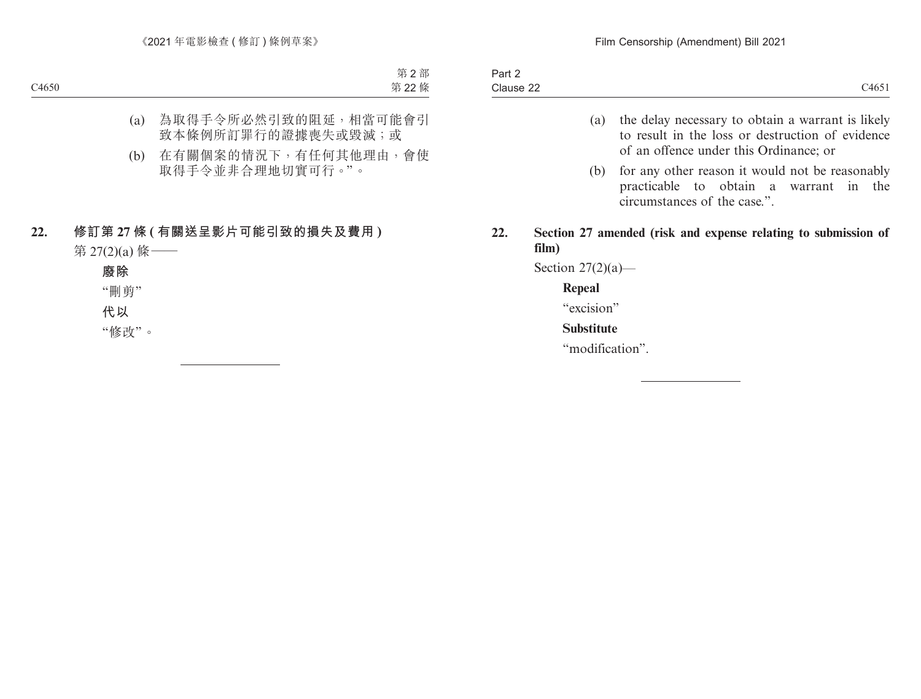- (a) the delay necessary to obtain a warrant is likely to result in the loss or destruction of evidence of an offence under this Ordinance; or
- (b) for any other reason it would not be reasonably practicable to obtain a warrant in the circumstances of the case.".
- **22. Section 27 amended (risk and expense relating to submission of film)**

Section  $27(2)(a)$ —

#### **Repeal**

"excision"

# **Substitute**

"modification".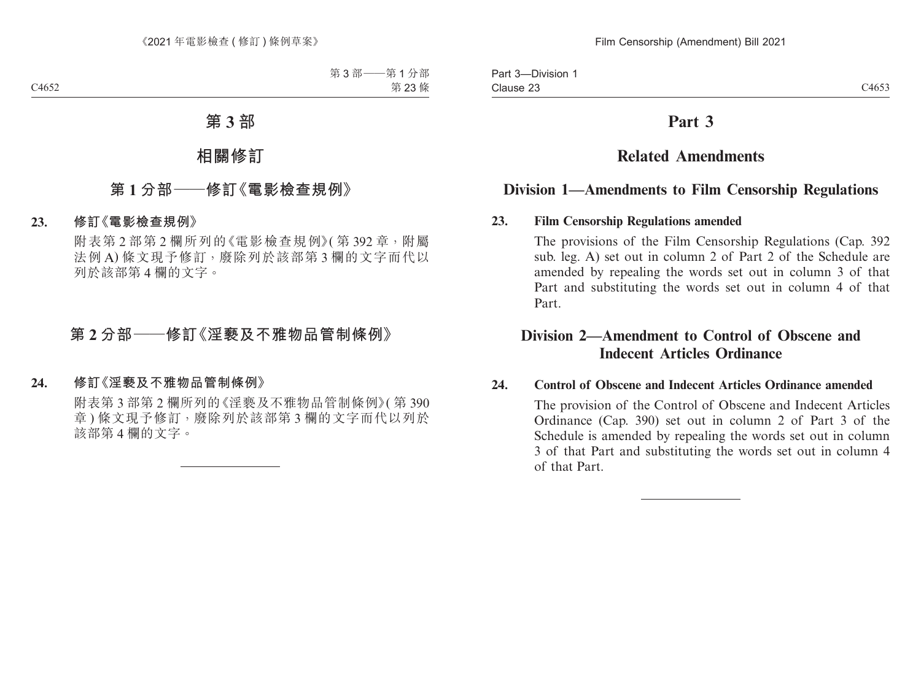# **Part 3**

# **Related Amendments**

# **Division 1—Amendments to Film Censorship Regulations**

# **23. Film Censorship Regulations amended**

The provisions of the Film Censorship Regulations (Cap. 392 sub. leg. A) set out in column 2 of Part 2 of the Schedule are amended by repealing the words set out in column 3 of that Part and substituting the words set out in column 4 of that Part.

# **Division 2—Amendment to Control of Obscene and Indecent Articles Ordinance**

#### **24. Control of Obscene and Indecent Articles Ordinance amended**

The provision of the Control of Obscene and Indecent Articles Ordinance (Cap. 390) set out in column 2 of Part 3 of the Schedule is amended by repealing the words set out in column 3 of that Part and substituting the words set out in column 4 of that Part.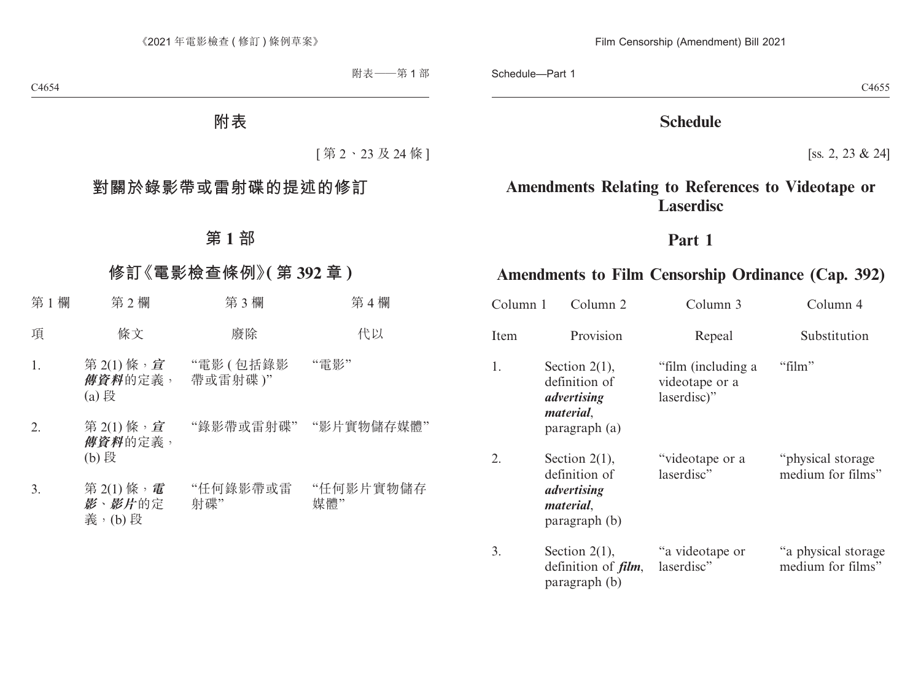# **Schedule**

[ss. 2, 23 & 24]

# **Amendments Relating to References to Videotape or Laserdisc**

# **Part 1**

# **Amendments to Film Censorship Ordinance (Cap. 392)**

| Column 1 | Column 2                                                                              | Column 3                                            | Column 4                                  |
|----------|---------------------------------------------------------------------------------------|-----------------------------------------------------|-------------------------------------------|
| Item     | Provision                                                                             | Repeal                                              | Substitution                              |
| 1.       | Section $2(1)$ ,<br>definition of<br>advertising<br><i>material.</i><br>paragraph (a) | "film (including a<br>videotape or a<br>laserdisc)" | "film"                                    |
| 2.       | Section $2(1)$ ,<br>definition of<br>advertising<br>material,<br>paragraph (b)        | "videotape or a<br>laserdisc"                       | "physical storage"<br>medium for films"   |
| 3.       | Section $2(1)$ ,<br>definition of <i>film</i> ,<br>paragraph (b)                      | "a videotape or<br>laserdisc"                       | "a physical storage"<br>medium for films" |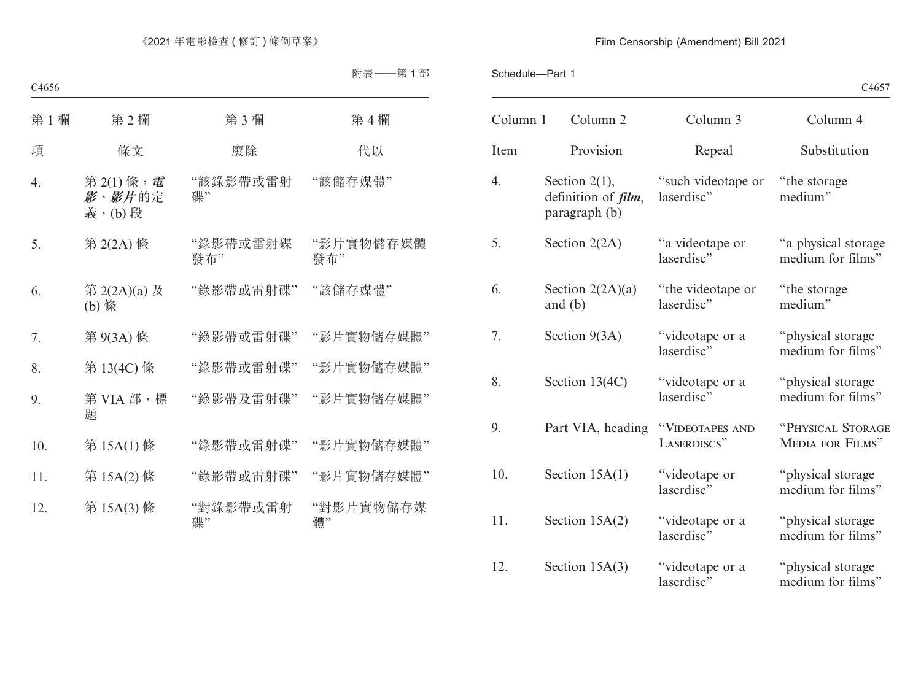#### Schedule—Part 1

| Column 1 | Column <sub>2</sub>                                              | Column 3                         | Column 4                                 |
|----------|------------------------------------------------------------------|----------------------------------|------------------------------------------|
| Item     | Provision                                                        | Repeal                           | Substitution                             |
| 4.       | Section $2(1)$ ,<br>definition of <i>film</i> ,<br>paragraph (b) | "such videotape or<br>laserdisc" | "the storage"<br>medium"                 |
| 5.       | Section $2(2A)$                                                  | "a videotape or<br>laserdisc"    | "a physical storage<br>medium for films" |
| 6.       | Section $2(2A)(a)$<br>and $(b)$                                  | "the videotape or<br>laserdisc"  | "the storage"<br>medium"                 |
| 7.       | Section $9(3A)$                                                  | "videotape or a<br>laserdisc"    | "physical storage<br>medium for films"   |
| 8.       | Section 13(4C)                                                   | "videotape or a<br>laserdisc"    | "physical storage<br>medium for films"   |
| 9.       | Part VIA, heading                                                | "VIDEOTAPES AND<br>LASERDISCS"   | "PHYSICAL STORAGE<br>MEDIA FOR FILMS"    |
| 10.      | Section $15A(1)$                                                 | "videotape or<br>laserdisc"      | "physical storage<br>medium for films"   |
| 11.      | Section $15A(2)$                                                 | "videotape or a<br>laserdisc"    | "physical storage<br>medium for films"   |

#### 12. Section 15A(3) "videotape or a laserdisc<sup>3</sup> "physical storage medium for films"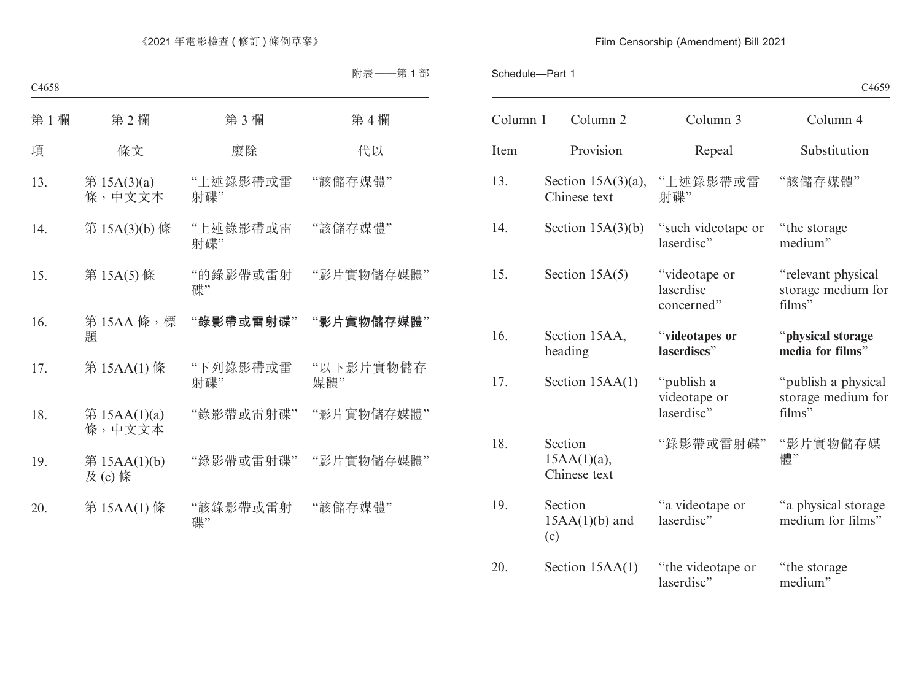|          |                                           |                                          | C <sub>4659</sub>                                   |
|----------|-------------------------------------------|------------------------------------------|-----------------------------------------------------|
| Column 1 | Column 2                                  | Column 3                                 | Column 4                                            |
| Item     | Provision                                 | Repeal                                   | Substitution                                        |
| 13.      | Section $15A(3)(a)$ ,<br>Chinese text     | "上述錄影帶或雷<br>射碟"                          | "該儲存媒體"                                             |
| 14.      | Section $15A(3)(b)$                       | "such videotape or<br>laserdisc"         | "the storage"<br>medium"                            |
| 15.      | Section $15A(5)$                          | "videotape or<br>laserdisc<br>concerned" | "relevant physical<br>storage medium for<br>films"  |
| 16.      | Section 15AA,<br>heading                  | "videotapes or<br>laserdiscs"            | "physical storage<br>media for films"               |
| 17.      | Section $15AA(1)$                         | "publish a<br>videotape or<br>laserdisc" | "publish a physical<br>storage medium for<br>films" |
| 18.      | Section<br>$15AA(1)(a)$ ,<br>Chinese text | "錄影帶或雷射碟"                                | "影片實物儲存媒<br>體"                                      |
| 19.      | Section<br>$15AA(1)(b)$ and<br>(c)        | "a videotape or<br>laserdisc"            | "a physical storage<br>medium for films"            |
| 20.      | Section $15AA(1)$                         | "the videotape or<br>laserdisc"          | "the storage"<br>medium"                            |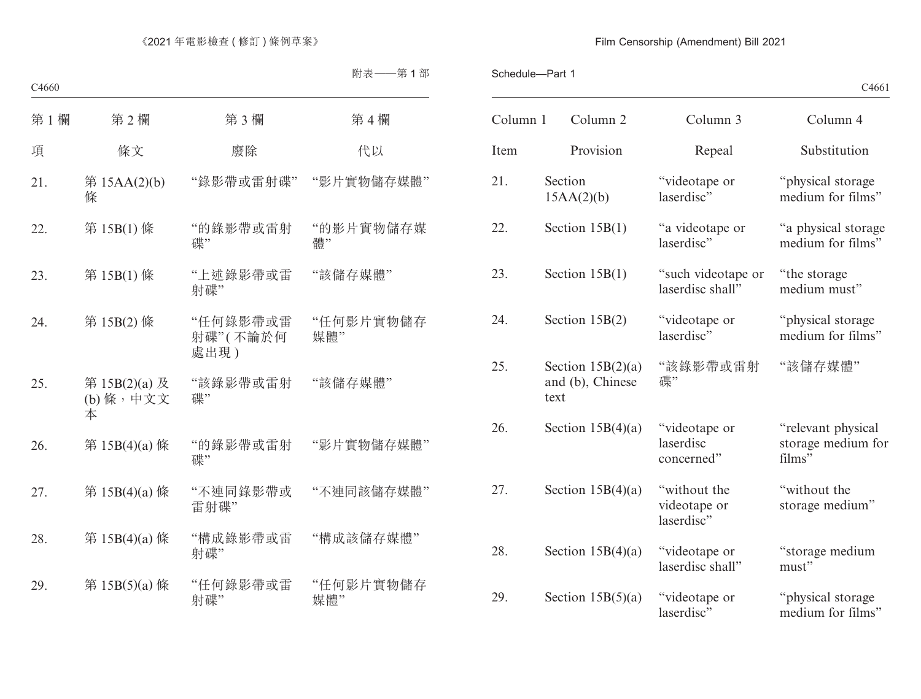| C4661 |
|-------|
|-------|

| Column 1 | Column <sub>2</sub>                             | Column 3                                   | Column 4                                           |
|----------|-------------------------------------------------|--------------------------------------------|----------------------------------------------------|
| Item     | Provision                                       | Repeal                                     | Substitution                                       |
| 21.      | Section<br>15AA(2)(b)                           | "videotape or<br>laserdisc"                | "physical storage<br>medium for films"             |
| 22.      | Section $15B(1)$                                | "a videotape or<br>laserdisc"              | "a physical storage<br>medium for films"           |
| 23.      | Section $15B(1)$                                | "such videotape or<br>laserdisc shall"     | "the storage"<br>medium must"                      |
| 24.      | Section $15B(2)$                                | "videotape or<br>laserdisc"                | "physical storage<br>medium for films"             |
| 25.      | Section $15B(2)(a)$<br>and (b), Chinese<br>text | "該錄影帶或雷射<br>碟"                             | "該儲存媒體"                                            |
| 26.      | Section $15B(4)(a)$                             | "videotape or<br>laserdisc<br>concerned"   | "relevant physical<br>storage medium for<br>films" |
| 27.      | Section $15B(4)(a)$                             | "without the<br>videotape or<br>laserdisc" | "without the<br>storage medium"                    |
| 28.      | Section $15B(4)(a)$                             | "videotape or<br>laserdisc shall"          | "storage medium<br>must"                           |
| 29.      | Section $15B(5)(a)$                             | "videotape or<br>laserdisc"                | "physical storage<br>medium for films"             |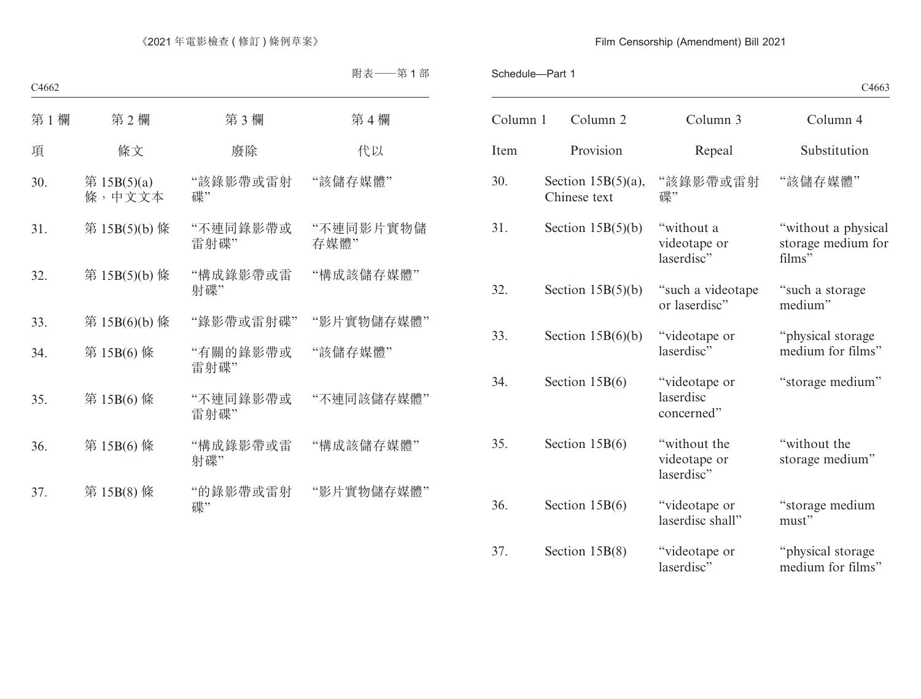|          |                                       |                                            | C <sub>4663</sub>                                   |
|----------|---------------------------------------|--------------------------------------------|-----------------------------------------------------|
| Column 1 | Column 2                              | Column 3                                   | Column 4                                            |
| Item     | Provision                             | Repeal                                     | Substitution                                        |
| 30.      | Section $15B(5)(a)$ ,<br>Chinese text | "該錄影帶或雷射<br>碟"                             | "該儲存媒體"                                             |
| 31.      | Section $15B(5)(b)$                   | "without a<br>videotape or<br>laserdisc"   | "without a physical<br>storage medium for<br>films" |
| 32.      | Section $15B(5)(b)$                   | "such a videotape<br>or laserdisc"         | "such a storage"<br>medium"                         |
| 33.      | Section $15B(6)(b)$                   | "videotape or<br>laserdisc"                | "physical storage<br>medium for films"              |
| 34.      | Section $15B(6)$                      | "videotape or<br>laserdisc<br>concerned"   | "storage medium"                                    |
| 35.      | Section $15B(6)$                      | "without the<br>videotape or<br>laserdisc" | "without the<br>storage medium"                     |
| 36.      | Section $15B(6)$                      | "videotape or<br>laserdisc shall"          | "storage medium<br>must"                            |
| 37.      | Section $15B(8)$                      | "videotape or<br>laserdisc"                | "physical storage<br>medium for films"              |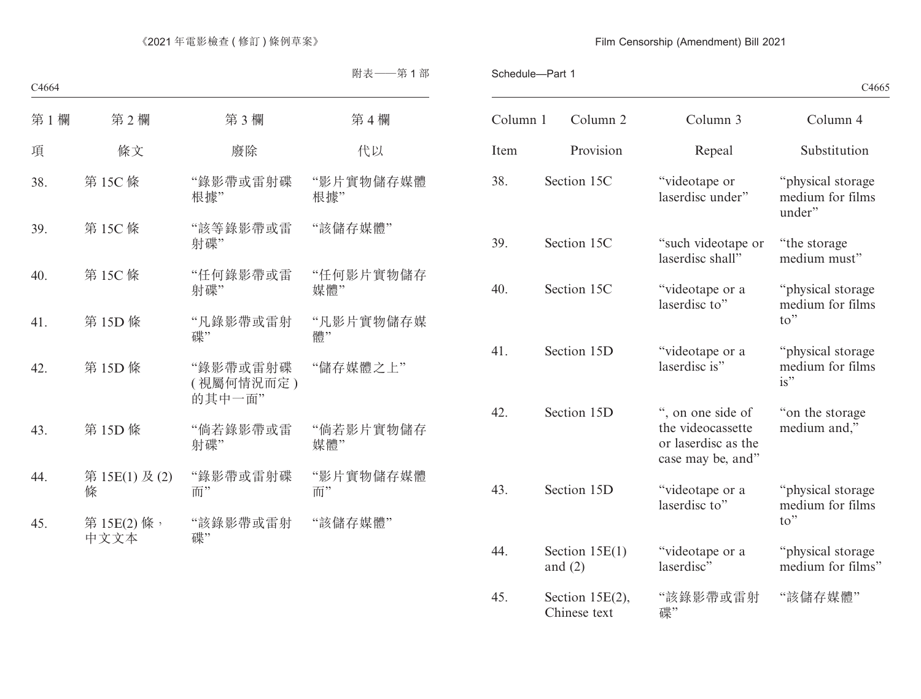|  |  | C4665 |
|--|--|-------|
|--|--|-------|

| Column 1 | Column <sub>2</sub>                | Column 3                                                                           | Column 4                                                 |
|----------|------------------------------------|------------------------------------------------------------------------------------|----------------------------------------------------------|
| Item     | Provision                          | Repeal                                                                             | Substitution                                             |
| 38.      | Section 15C                        | "videotape or<br>laserdisc under"                                                  | "physical storage<br>medium for films<br>under"          |
| 39.      | Section 15C                        | "such videotape or<br>laserdisc shall"                                             | "the storage"<br>medium must"                            |
| 40.      | Section 15C                        | "videotape or a<br>laserdisc to"                                                   | "physical storage<br>medium for films<br>to"             |
| 41.      | Section 15D                        | "videotape or a<br>laserdisc is"                                                   | "physical storage<br>medium for films<br>is"             |
| 42.      | Section 15D                        | ", on one side of<br>the videocassette<br>or laserdisc as the<br>case may be, and" | "on the storage"<br>medium and,"                         |
| 43.      | Section 15D                        | "videotape or a<br>laserdisc to"                                                   | "physical storage<br>medium for films<br>$\mathrm{to}$ " |
| 44.      | Section $15E(1)$<br>and $(2)$      | "videotape or a<br>laserdisc"                                                      | "physical storage<br>medium for films"                   |
| 45.      | Section $15E(2)$ ,<br>Chinese text | "該錄影帶或雷射<br>碟"                                                                     | "該儲存媒體"                                                  |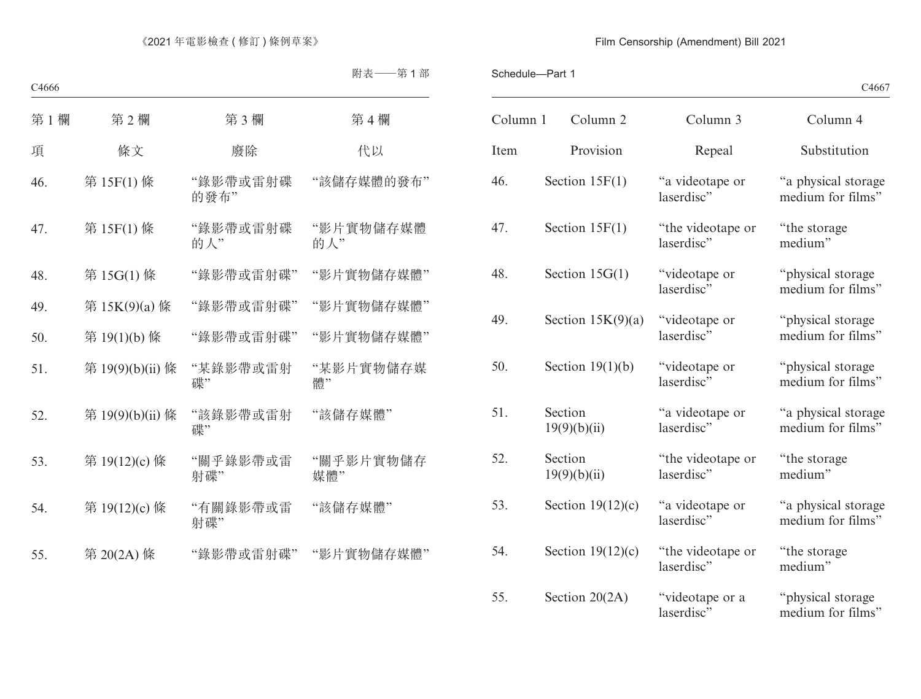| C4667 |
|-------|
|-------|

| Column 1 | Column <sub>2</sub>     | Column 3                        | Column 4                                 |
|----------|-------------------------|---------------------------------|------------------------------------------|
| Item     | Provision               | Repeal                          | Substitution                             |
| 46.      | Section $15F(1)$        | "a videotape or<br>laserdisc"   | "a physical storage<br>medium for films" |
| 47.      | Section $15F(1)$        | "the videotape or<br>laserdisc" | "the storage<br>medium"                  |
| 48.      | Section $15G(1)$        | "videotape or<br>laserdisc"     | "physical storage<br>medium for films"   |
| 49.      | Section $15K(9)(a)$     | "videotape or<br>laserdisc"     | "physical storage<br>medium for films"   |
| 50.      | Section $19(1)(b)$      | "videotape or<br>laserdisc"     | "physical storage<br>medium for films"   |
| 51.      | Section<br>19(9)(b)(ii) | "a videotape or<br>laserdisc"   | "a physical storage<br>medium for films" |
| 52.      | Section<br>19(9)(b)(ii) | "the videotape or<br>laserdisc" | "the storage"<br>medium"                 |
| 53.      | Section $19(12)(c)$     | "a videotape or<br>laserdisc"   | "a physical storage<br>medium for films" |
| 54.      | Section $19(12)(c)$     | "the videotape or<br>laserdisc" | "the storage"<br>medium"                 |
| 55.      | Section 20(2A)          | "videotape or a<br>laserdisc"   | "physical storage<br>medium for films"   |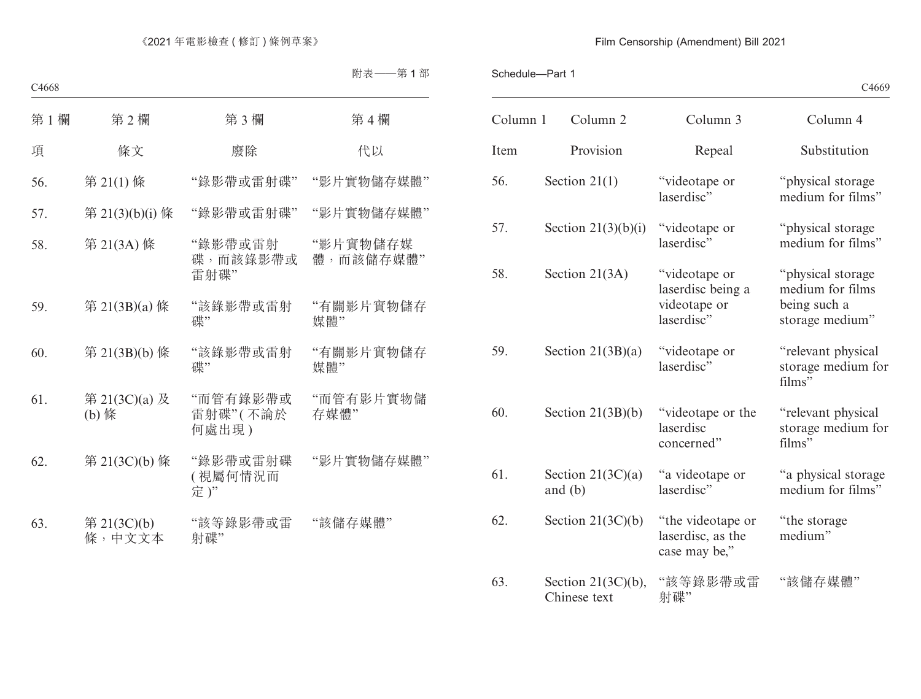|  |  | C4669 |
|--|--|-------|
|--|--|-------|

| Column 1 | Column <sub>2</sub>                   | Column 3                                                         | Column 4                                                                  |
|----------|---------------------------------------|------------------------------------------------------------------|---------------------------------------------------------------------------|
| Item     | Provision                             | Repeal                                                           | Substitution                                                              |
| 56.      | Section $21(1)$                       | "videotape or<br>laserdisc"                                      | "physical storage<br>medium for films"                                    |
| 57.      | Section $21(3)(b)(i)$                 | "videotape or<br>laserdisc"                                      | "physical storage<br>medium for films"                                    |
| 58.      | Section $21(3A)$                      | "videotape or<br>laserdisc being a<br>videotape or<br>laserdisc" | "physical storage"<br>medium for films<br>being such a<br>storage medium" |
| 59.      | Section $21(3B)(a)$                   | "videotape or<br>laserdisc"                                      | "relevant physical<br>storage medium for<br>films"                        |
| 60.      | Section $21(3B)(b)$                   | "videotape or the<br>laserdisc<br>concerned"                     | "relevant physical<br>storage medium for<br>films"                        |
| 61.      | Section $21(3C)(a)$<br>and $(b)$      | "a videotape or<br>laserdisc"                                    | "a physical storage<br>medium for films"                                  |
| 62.      | Section $21(3C)(b)$                   | "the videotape or<br>laserdisc, as the<br>case may be,"          | "the storage"<br>medium"                                                  |
| 63.      | Section $21(3C)(b)$ ,<br>Chinese text | "該等錄影帶或雷<br>射碟"                                                  | "該儲存媒體"                                                                   |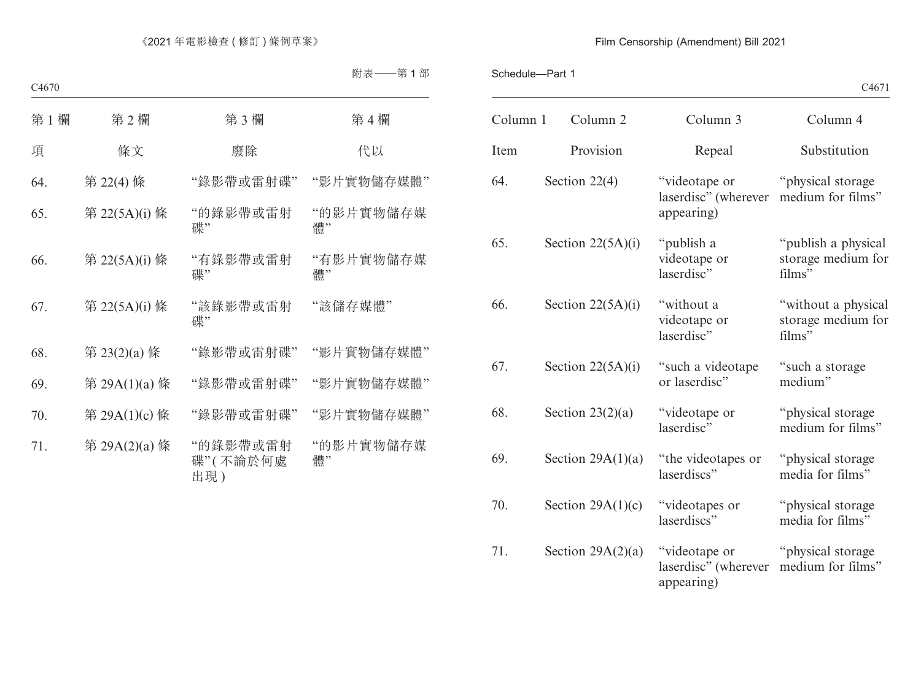| Column 1 | Column <sub>2</sub> | Column 3                                            | Column 4                                            |
|----------|---------------------|-----------------------------------------------------|-----------------------------------------------------|
| Item     | Provision           | Repeal                                              | Substitution                                        |
| 64.      | Section $22(4)$     | "videotape or<br>laserdisc" (wherever<br>appearing) | "physical storage<br>medium for films"              |
| 65.      | Section $22(5A)(i)$ | "publish a<br>videotape or<br>laserdisc"            | "publish a physical<br>storage medium for<br>films" |
| 66.      | Section $22(5A)(i)$ | "without a<br>videotape or<br>laserdisc"            | "without a physical<br>storage medium for<br>films" |
| 67.      | Section $22(5A)(i)$ | "such a videotape<br>or laserdisc"                  | "such a storage<br>medium"                          |
| 68.      | Section $23(2)(a)$  | "videotape or<br>laserdisc"                         | "physical storage<br>medium for films"              |
| 69.      | Section $29A(1)(a)$ | "the videotapes or<br>laserdiscs"                   | "physical storage<br>media for films"               |
| 70.      | Section $29A(1)(c)$ | "videotapes or<br>laserdiscs"                       | "physical storage<br>media for films"               |
| 71.      | Section $29A(2)(a)$ | "videotape or<br>laserdisc" (wherever<br>appearing) | "physical storage<br>medium for films"              |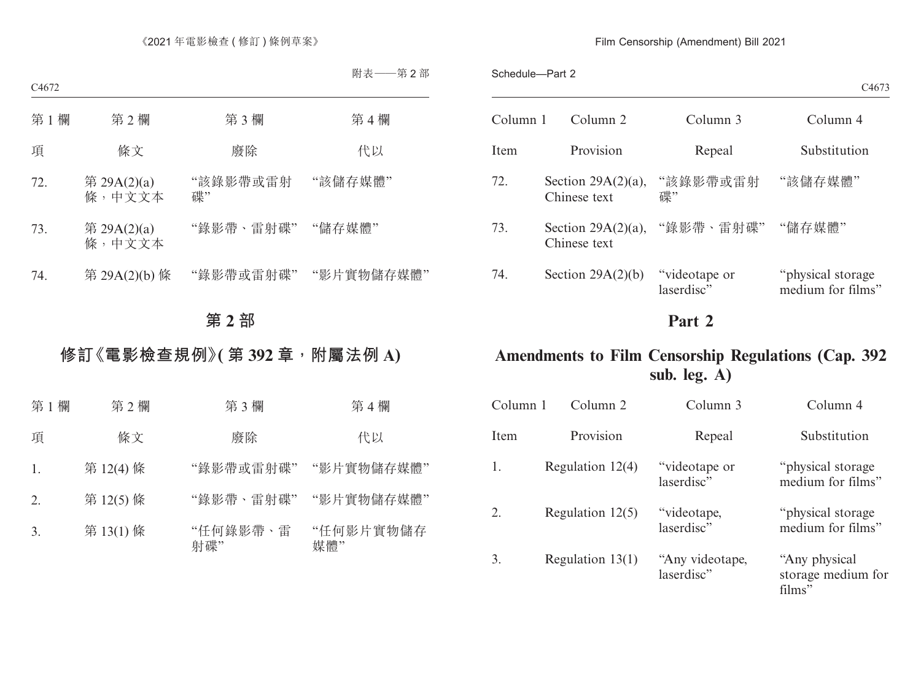Schedule—Part 2

|          |                                       |                             | C <sub>4673</sub>                      |
|----------|---------------------------------------|-----------------------------|----------------------------------------|
| Column 1 | Column 2                              | Column 3                    | Column 4                               |
| Item     | Provision                             | Repeal                      | Substitution                           |
| 72.      | Section $29A(2)(a)$ ,<br>Chinese text | "該錄影帶或雷射<br>碟"              | "該儲存媒體"                                |
| 73.      | Section $29A(2)(a)$ ,<br>Chinese text | "錄影帶、雷射碟"                   | "儲存媒體"                                 |
| 74.      | Section $29A(2)(b)$                   | "videotape or<br>laserdisc" | "physical storage<br>medium for films" |

# **Part 2**

# **Amendments to Film Censorship Regulations (Cap. 392 sub. leg. A)**

| Column 1     | Column 2           | Column 3                      | Column 4                                       |
|--------------|--------------------|-------------------------------|------------------------------------------------|
| <b>I</b> tem | Provision          | Repeal                        | Substitution                                   |
| 1.           | Regulation $12(4)$ | "videotape or<br>laserdisc"   | "physical storage"<br>medium for films"        |
| 2.           | Regulation $12(5)$ | "videotape,<br>laserdisc"     | "physical storage"<br>medium for films"        |
| 3.           | Regulation $13(1)$ | "Any videotape,<br>laserdisc" | "Any physical"<br>storage medium for<br>films" |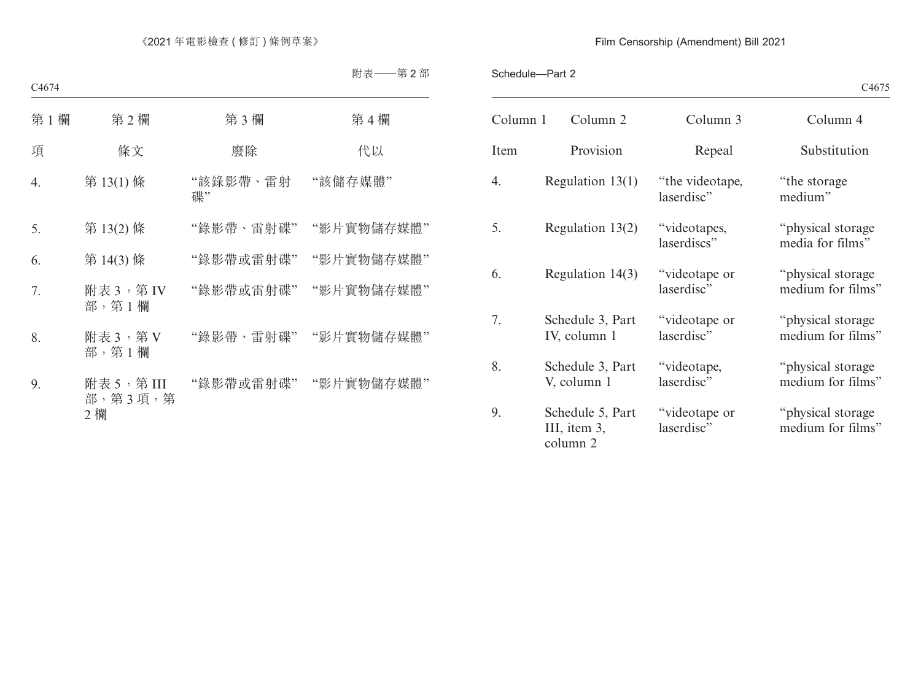| C4675 |
|-------|
|-------|

| Column 1    | Column 2                                     | Column 3                      | Column 4                                |
|-------------|----------------------------------------------|-------------------------------|-----------------------------------------|
| <b>Item</b> | Provision                                    | Repeal                        | Substitution                            |
| 4.          | Regulation $13(1)$                           | "the videotape,<br>laserdisc" | "the storage"<br>medium"                |
| 5.          | Regulation $13(2)$                           | "videotapes,<br>laserdiscs"   | "physical storage"<br>media for films"  |
| 6.          | Regulation 14(3)                             | "videotape or<br>laserdisc"   | "physical storage"<br>medium for films" |
| 7.          | Schedule 3, Part<br>IV, column 1             | "videotape or<br>laserdisc"   | "physical storage"<br>medium for films" |
| 8.          | Schedule 3, Part<br>V, column 1              | "videotape,<br>laserdisc"     | "physical storage"<br>medium for films" |
| 9.          | Schedule 5, Part<br>III, item 3,<br>column 2 | "videotape or<br>laserdisc"   | "physical storage<br>medium for films"  |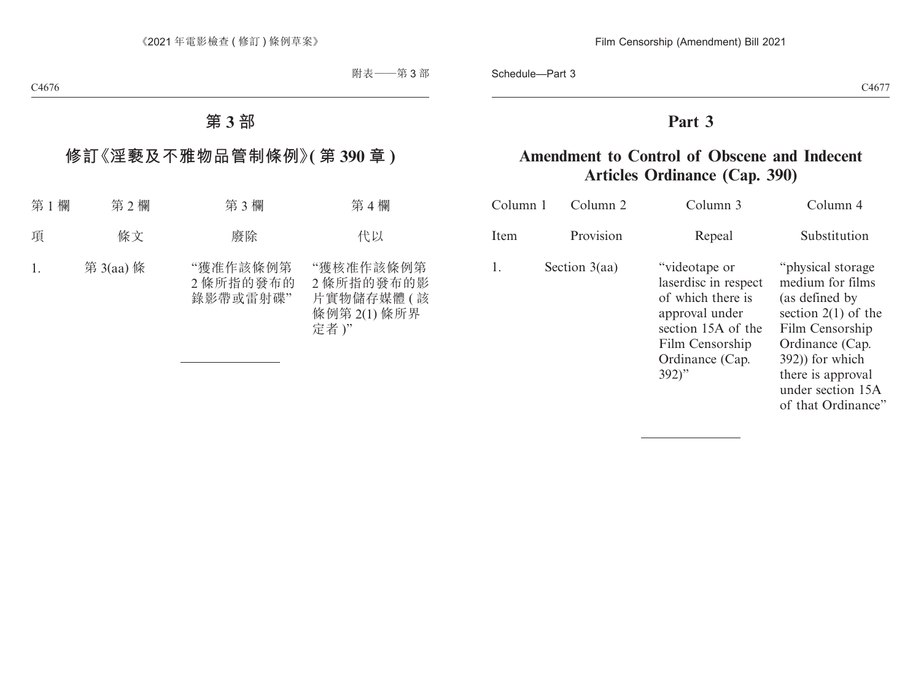# **Part 3**

# **Amendment to Control of Obscene and Indecent Articles Ordinance (Cap. 390)**

| Column 1 | Column 2        | Column 3                                                                                                                                             | Column 4                                                                                                                                                                                                  |
|----------|-----------------|------------------------------------------------------------------------------------------------------------------------------------------------------|-----------------------------------------------------------------------------------------------------------------------------------------------------------------------------------------------------------|
| Item     | Provision       | Repeal                                                                                                                                               | Substitution                                                                                                                                                                                              |
| 1.       | Section $3(aa)$ | "videotape or<br>laserdisc in respect<br>of which there is<br>approval under<br>section 15A of the<br>Film Censorship<br>Ordinance (Cap.<br>$392)$ " | "physical storage"<br>medium for films<br>(as defined by<br>section $2(1)$ of the<br>Film Censorship<br>Ordinance (Cap.<br>392) for which<br>there is approval<br>under section 15A<br>of that Ordinance" |
|          |                 |                                                                                                                                                      |                                                                                                                                                                                                           |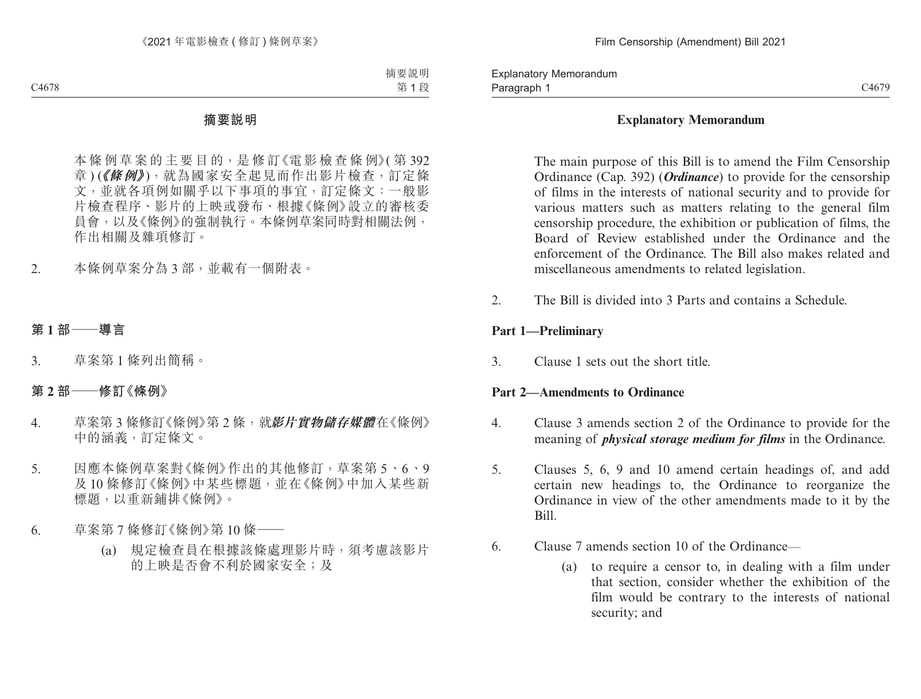# **Explanatory Memorandum**

The main purpose of this Bill is to amend the Film Censorship Ordinance (Cap. 392) (*Ordinance*) to provide for the censorship of films in the interests of national security and to provide for various matters such as matters relating to the general film censorship procedure, the exhibition or publication of films, the Board of Review established under the Ordinance and the enforcement of the Ordinance. The Bill also makes related and miscellaneous amendments to related legislation.

2. The Bill is divided into 3 Parts and contains a Schedule.

# **Part 1—Preliminary**

3. Clause 1 sets out the short title.

# **Part 2—Amendments to Ordinance**

- 4. Clause 3 amends section 2 of the Ordinance to provide for the meaning of *physical storage medium for films* in the Ordinance.
- 5. Clauses 5, 6, 9 and 10 amend certain headings of, and add certain new headings to, the Ordinance to reorganize the Ordinance in view of the other amendments made to it by the Bill.
- 6. Clause 7 amends section 10 of the Ordinance—
	- (a) to require a censor to, in dealing with a film under that section, consider whether the exhibition of the film would be contrary to the interests of national security; and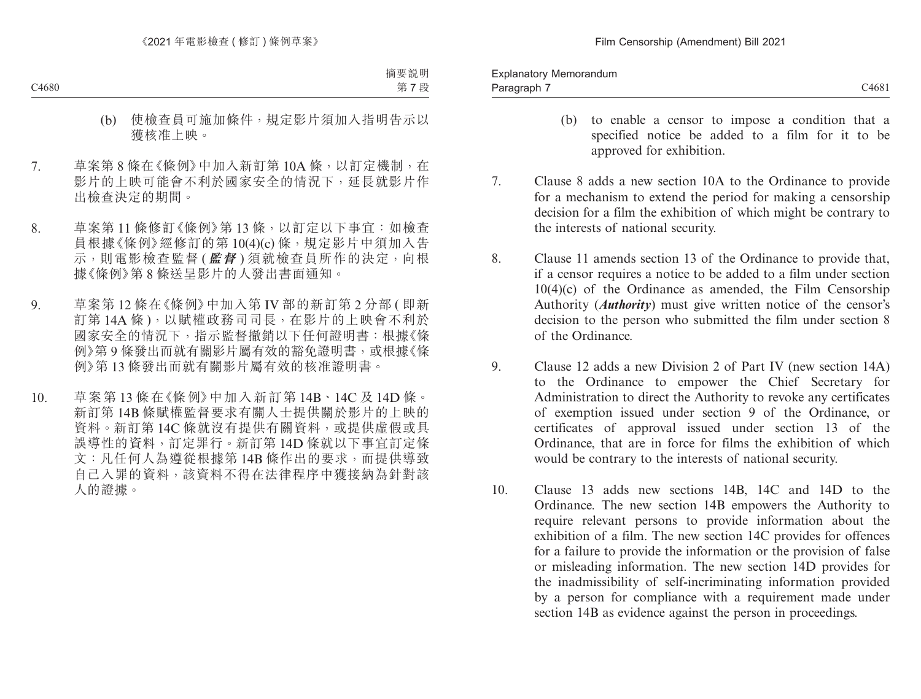- (b) to enable a censor to impose a condition that a specified notice be added to a film for it to be approved for exhibition.
- 7. Clause 8 adds a new section 10A to the Ordinance to provide for a mechanism to extend the period for making a censorship decision for a film the exhibition of which might be contrary to the interests of national security.
- 8. Clause 11 amends section 13 of the Ordinance to provide that, if a censor requires a notice to be added to a film under section  $10(4)(c)$  of the Ordinance as amended, the Film Censorship Authority (*Authority*) must give written notice of the censor's decision to the person who submitted the film under section 8 of the Ordinance.
- 9. Clause 12 adds a new Division 2 of Part IV (new section 14A) to the Ordinance to empower the Chief Secretary for Administration to direct the Authority to revoke any certificates of exemption issued under section 9 of the Ordinance, or certificates of approval issued under section 13 of the Ordinance, that are in force for films the exhibition of which would be contrary to the interests of national security.
- 10. Clause 13 adds new sections 14B, 14C and 14D to the Ordinance. The new section 14B empowers the Authority to require relevant persons to provide information about the exhibition of a film. The new section 14C provides for offences for a failure to provide the information or the provision of false or misleading information. The new section 14D provides for the inadmissibility of self-incriminating information provided by a person for compliance with a requirement made under section 14B as evidence against the person in proceedings.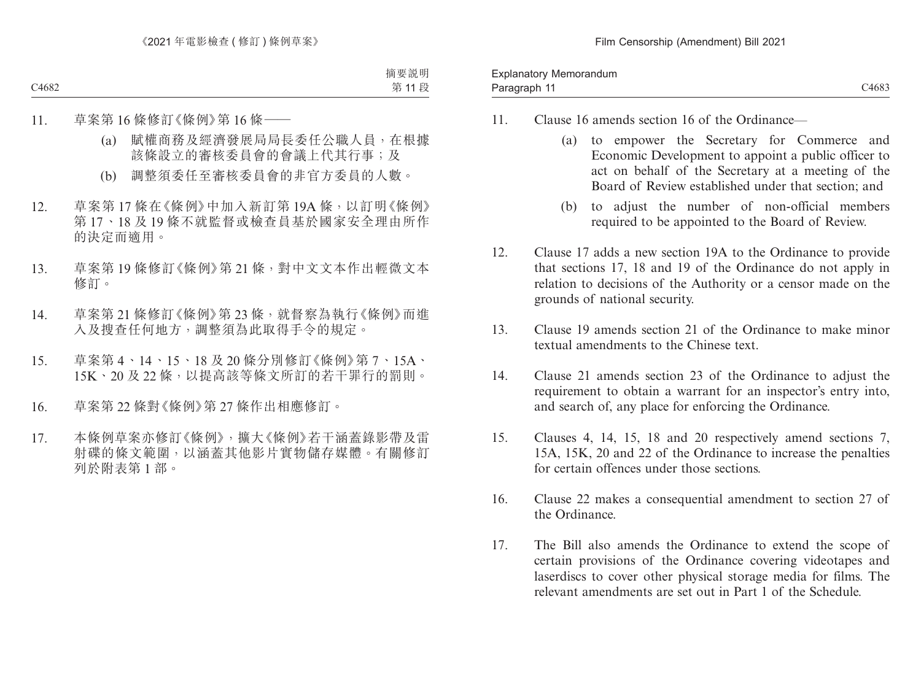| Memorandum<br>∟xplanator∩ |       |
|---------------------------|-------|
| Paragraph<br>.            | C4683 |

- 11. Clause 16 amends section 16 of the Ordinance—
	- (a) to empower the Secretary for Commerce and Economic Development to appoint a public officer to act on behalf of the Secretary at a meeting of the Board of Review established under that section; and
	- (b) to adjust the number of non-official members required to be appointed to the Board of Review.
- 12. Clause 17 adds a new section 19A to the Ordinance to provide that sections 17, 18 and 19 of the Ordinance do not apply in relation to decisions of the Authority or a censor made on the grounds of national security.
- 13. Clause 19 amends section 21 of the Ordinance to make minor textual amendments to the Chinese text.
- 14. Clause 21 amends section 23 of the Ordinance to adjust the requirement to obtain a warrant for an inspector's entry into, and search of, any place for enforcing the Ordinance.
- 15. Clauses 4, 14, 15, 18 and 20 respectively amend sections 7, 15A, 15K, 20 and 22 of the Ordinance to increase the penalties for certain offences under those sections.
- 16. Clause 22 makes a consequential amendment to section 27 of the Ordinance.
- 17. The Bill also amends the Ordinance to extend the scope of certain provisions of the Ordinance covering videotapes and laserdiscs to cover other physical storage media for films. The relevant amendments are set out in Part 1 of the Schedule.